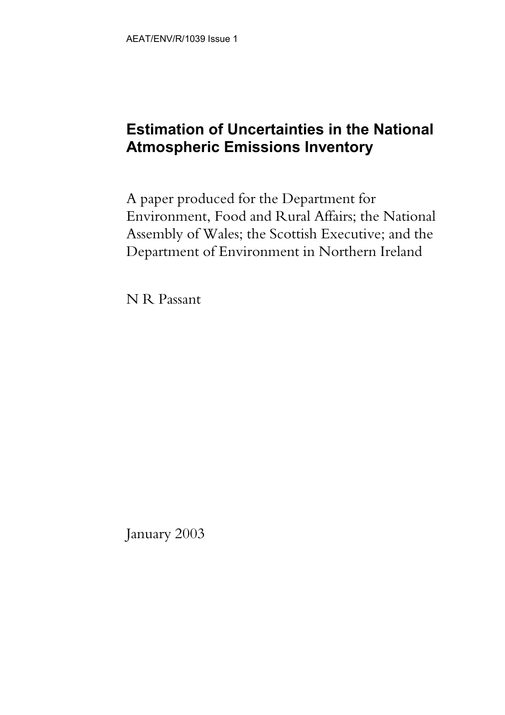## **Estimation of Uncertainties in the National Atmospheric Emissions Inventory**

A paper produced for the Department for Environment, Food and Rural Affairs; the National Assembly of Wales; the Scottish Executive; and the Department of Environment in Northern Ireland

N R Passant

January 2003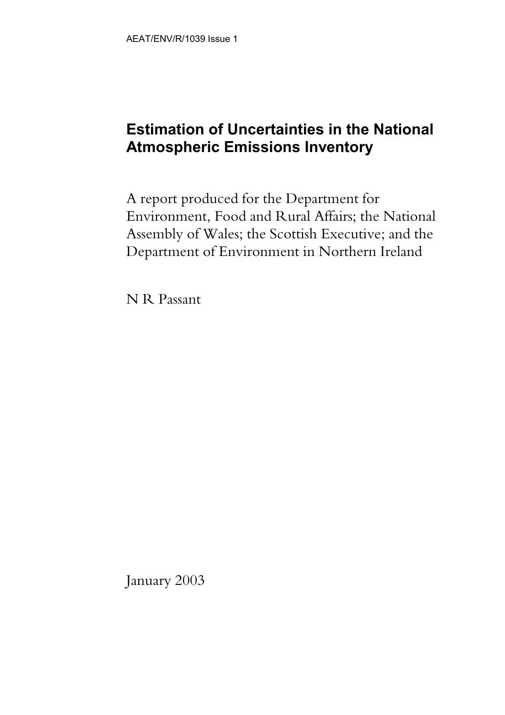## **Estimation of Uncertainties in the National Atmospheric Emissions Inventory**

A report produced for the Department for Environment, Food and Rural Affairs; the National Assembly of Wales; the Scottish Executive; and the Department of Environment in Northern Ireland

N R Passant

January 2003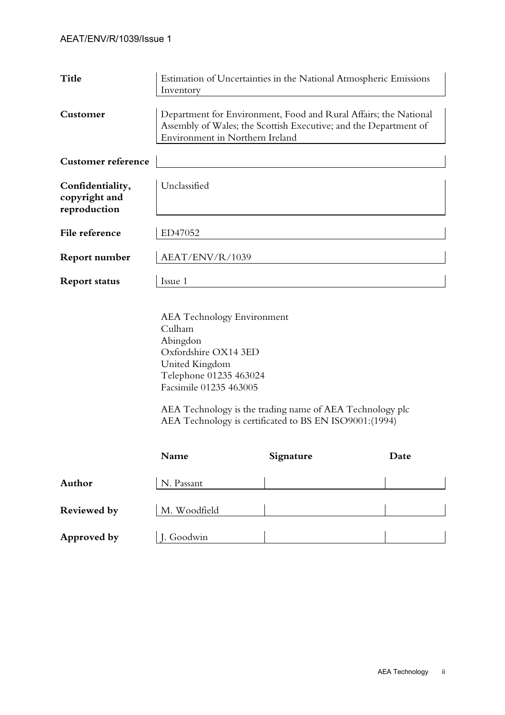| <b>Title</b>                                      | Estimation of Uncertainties in the National Atmospheric Emissions<br>Inventory                                                                                          |                                                                                                                    |      |  |  |  |  |  |
|---------------------------------------------------|-------------------------------------------------------------------------------------------------------------------------------------------------------------------------|--------------------------------------------------------------------------------------------------------------------|------|--|--|--|--|--|
| Customer                                          | Department for Environment, Food and Rural Affairs; the National<br>Assembly of Wales; the Scottish Executive; and the Department of<br>Environment in Northern Ireland |                                                                                                                    |      |  |  |  |  |  |
| <b>Customer reference</b>                         |                                                                                                                                                                         |                                                                                                                    |      |  |  |  |  |  |
| Confidentiality,<br>copyright and<br>reproduction | Unclassified                                                                                                                                                            |                                                                                                                    |      |  |  |  |  |  |
| File reference                                    | ED47052                                                                                                                                                                 |                                                                                                                    |      |  |  |  |  |  |
| <b>Report number</b>                              | AEAT/ENV/R/1039                                                                                                                                                         |                                                                                                                    |      |  |  |  |  |  |
| <b>Report status</b>                              | Issue 1                                                                                                                                                                 |                                                                                                                    |      |  |  |  |  |  |
|                                                   | <b>AEA</b> Technology Environment<br>Culham<br>Abingdon<br>Oxfordshire OX14 3ED<br>United Kingdom<br>Telephone 01235 463024<br>Facsimile 01235 463005                   | AEA Technology is the trading name of AEA Technology plc<br>AEA Technology is certificated to BS EN ISO9001:(1994) |      |  |  |  |  |  |
|                                                   | Name                                                                                                                                                                    | Signature                                                                                                          | Date |  |  |  |  |  |
| Author                                            | N. Passant                                                                                                                                                              |                                                                                                                    |      |  |  |  |  |  |
| <b>Reviewed</b> by                                | M. Woodfield                                                                                                                                                            |                                                                                                                    |      |  |  |  |  |  |
| Approved by                                       | J. Goodwin                                                                                                                                                              |                                                                                                                    |      |  |  |  |  |  |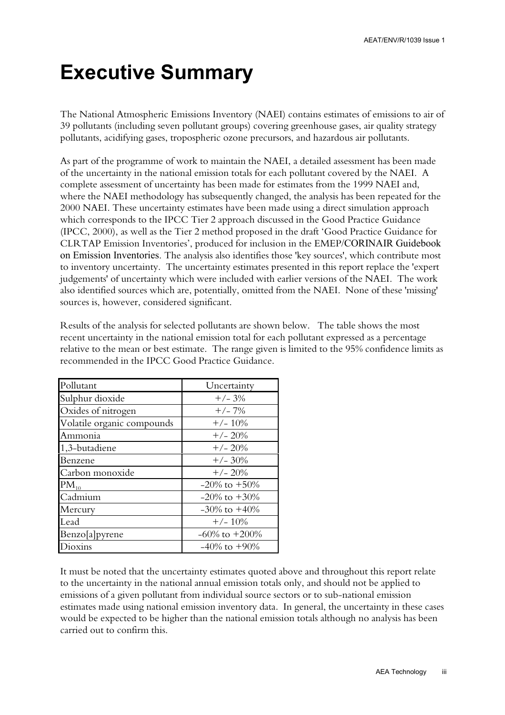## **Executive Summary**

The National Atmospheric Emissions Inventory (NAEI) contains estimates of emissions to air of 39 pollutants (including seven pollutant groups) covering greenhouse gases, air quality strategy pollutants, acidifying gases, tropospheric ozone precursors, and hazardous air pollutants.

As part of the programme of work to maintain the NAEI, a detailed assessment has been made of the uncertainty in the national emission totals for each pollutant covered by the NAEI. A complete assessment of uncertainty has been made for estimates from the 1999 NAEI and, where the NAEI methodology has subsequently changed, the analysis has been repeated for the 2000 NAEI. These uncertainty estimates have been made using a direct simulation approach which corresponds to the IPCC Tier 2 approach discussed in the Good Practice Guidance (IPCC, 2000), as well as the Tier 2 method proposed in the draft 'Good Practice Guidance for CLRTAP Emission Inventories', produced for inclusion in the EMEP/CORINAIR Guidebook on Emission Inventories. The analysis also identifies those 'key sources', which contribute most to inventory uncertainty. The uncertainty estimates presented in this report replace the 'expert judgements' of uncertainty which were included with earlier versions of the NAEI. The work also identified sources which are, potentially, omitted from the NAEI. None of these 'missing' sources is, however, considered significant.

Results of the analysis for selected pollutants are shown below. The table shows the most recent uncertainty in the national emission total for each pollutant expressed as a percentage relative to the mean or best estimate. The range given is limited to the 95% confidence limits as recommended in the IPCC Good Practice Guidance.

| Pollutant                  | Uncertainty         |
|----------------------------|---------------------|
| Sulphur dioxide            | $+/- 3%$            |
| Oxides of nitrogen         | $+/- 7%$            |
| Volatile organic compounds | $+/- 10\%$          |
| Ammonia                    | $+/- 20%$           |
| 1,3-butadiene              | $+/- 20%$           |
| Benzene                    | $+/- 30%$           |
| Carbon monoxide            | $+/- 20%$           |
| $PM_{10}$                  | $-20\%$ to $+50\%$  |
| Cadmium                    | $-20\%$ to $+30\%$  |
| Mercury                    | $-30\%$ to $+40\%$  |
| Lead                       | $+/- 10\%$          |
| Benzo[a]pyrene             | $-60\%$ to $+200\%$ |
| 10X111S                    | $-40\%$ to $+90\%$  |

It must be noted that the uncertainty estimates quoted above and throughout this report relate to the uncertainty in the national annual emission totals only, and should not be applied to emissions of a given pollutant from individual source sectors or to sub-national emission estimates made using national emission inventory data. In general, the uncertainty in these cases would be expected to be higher than the national emission totals although no analysis has been carried out to confirm this.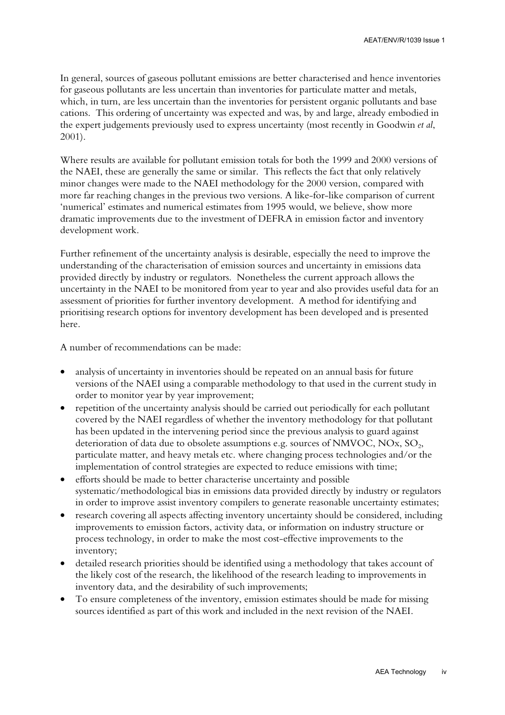In general, sources of gaseous pollutant emissions are better characterised and hence inventories for gaseous pollutants are less uncertain than inventories for particulate matter and metals, which, in turn, are less uncertain than the inventories for persistent organic pollutants and base cations. This ordering of uncertainty was expected and was, by and large, already embodied in the expert judgements previously used to express uncertainty (most recently in Goodwin *et al*, 2001).

Where results are available for pollutant emission totals for both the 1999 and 2000 versions of the NAEI, these are generally the same or similar. This reflects the fact that only relatively minor changes were made to the NAEI methodology for the 2000 version, compared with more far reaching changes in the previous two versions. A like-for-like comparison of current 'numerical' estimates and numerical estimates from 1995 would, we believe, show more dramatic improvements due to the investment of DEFRA in emission factor and inventory development work.

Further refinement of the uncertainty analysis is desirable, especially the need to improve the understanding of the characterisation of emission sources and uncertainty in emissions data provided directly by industry or regulators. Nonetheless the current approach allows the uncertainty in the NAEI to be monitored from year to year and also provides useful data for an assessment of priorities for further inventory development. A method for identifying and prioritising research options for inventory development has been developed and is presented here.

A number of recommendations can be made:

- analysis of uncertainty in inventories should be repeated on an annual basis for future versions of the NAEI using a comparable methodology to that used in the current study in order to monitor year by year improvement;
- repetition of the uncertainty analysis should be carried out periodically for each pollutant covered by the NAEI regardless of whether the inventory methodology for that pollutant has been updated in the intervening period since the previous analysis to guard against deterioration of data due to obsolete assumptions e.g. sources of NMVOC, NOx,  $SO<sub>2</sub>$ , particulate matter, and heavy metals etc. where changing process technologies and/or the implementation of control strategies are expected to reduce emissions with time;
- efforts should be made to better characterise uncertainty and possible systematic/methodological bias in emissions data provided directly by industry or regulators in order to improve assist inventory compilers to generate reasonable uncertainty estimates;
- research covering all aspects affecting inventory uncertainty should be considered, including improvements to emission factors, activity data, or information on industry structure or process technology, in order to make the most cost-effective improvements to the inventory;
- detailed research priorities should be identified using a methodology that takes account of the likely cost of the research, the likelihood of the research leading to improvements in inventory data, and the desirability of such improvements;
- To ensure completeness of the inventory, emission estimates should be made for missing sources identified as part of this work and included in the next revision of the NAEI.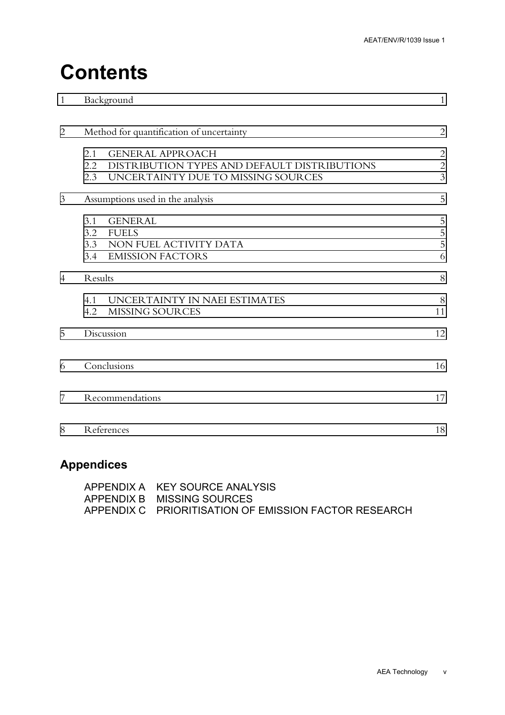## **Contents**

| $\mathbf{1}$   | Background                                          | $\mathbf{1}$   |
|----------------|-----------------------------------------------------|----------------|
| $\overline{2}$ | Method for quantification of uncertainty            | $\overline{2}$ |
|                | <b>GENERAL APPROACH</b><br>2.1                      | $\overline{c}$ |
|                | DISTRIBUTION TYPES AND DEFAULT DISTRIBUTIONS<br>2.2 |                |
|                | UNCERTAINTY DUE TO MISSING SOURCES<br>2.3           | $\frac{2}{3}$  |
| 3              | Assumptions used in the analysis                    | 5              |
|                | <b>GENERAL</b><br>3.1                               | 5              |
|                | 3.2<br><b>FUELS</b>                                 | $\overline{5}$ |
|                | 3.3<br>NON FUEL ACTIVITY DATA                       | 5              |
|                | 3.4 EMISSION FACTORS                                | 6              |
| $\overline{4}$ | Results                                             | 8              |
|                | 4.1<br>UNCERTAINTY IN NAEI ESTIMATES                | 8              |
|                | 4.2<br><b>MISSING SOURCES</b>                       | 11             |
| 5              | Discussion                                          | 12             |
| 6              | Conclusions                                         | 16             |
| 7              | Recommendations                                     | 17             |
| 8              | References                                          | 18             |
|                |                                                     |                |

### **Appendices**

| APPENDIX A KEY SOURCE ANALYSIS                        |
|-------------------------------------------------------|
| APPENDIX B MISSING SOURCES                            |
| APPENDIX C PRIORITISATION OF EMISSION FACTOR RESEARCH |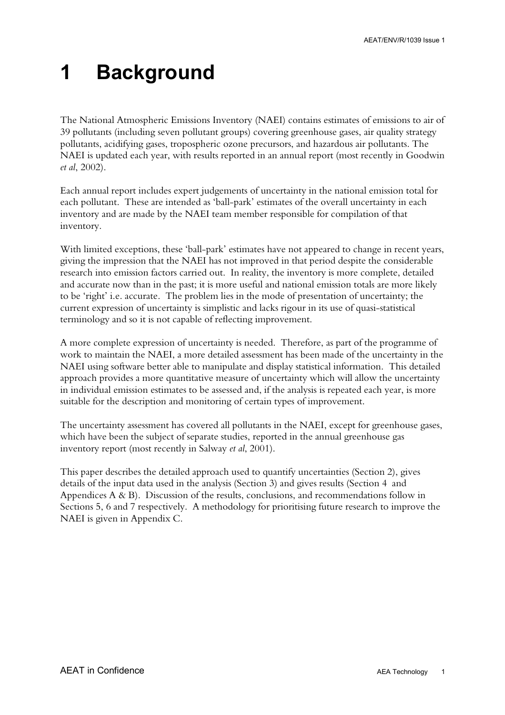## <span id="page-7-0"></span>**1 Background**

The National Atmospheric Emissions Inventory (NAEI) contains estimates of emissions to air of 39 pollutants (including seven pollutant groups) covering greenhouse gases, air quality strategy pollutants, acidifying gases, tropospheric ozone precursors, and hazardous air pollutants. The NAEI is updated each year, with results reported in an annual report (most recently in Goodwin *et al*, 2002).

Each annual report includes expert judgements of uncertainty in the national emission total for each pollutant. These are intended as 'ball-park' estimates of the overall uncertainty in each inventory and are made by the NAEI team member responsible for compilation of that inventory.

With limited exceptions, these 'ball-park' estimates have not appeared to change in recent years, giving the impression that the NAEI has not improved in that period despite the considerable research into emission factors carried out. In reality, the inventory is more complete, detailed and accurate now than in the past; it is more useful and national emission totals are more likely to be 'right' i.e. accurate. The problem lies in the mode of presentation of uncertainty; the current expression of uncertainty is simplistic and lacks rigour in its use of quasi-statistical terminology and so it is not capable of reflecting improvement.

A more complete expression of uncertainty is needed. Therefore, as part of the programme of work to maintain the NAEI, a more detailed assessment has been made of the uncertainty in the NAEI using software better able to manipulate and display statistical information. This detailed approach provides a more quantitative measure of uncertainty which will allow the uncertainty in individual emission estimates to be assessed and, if the analysis is repeated each year, is more suitable for the description and monitoring of certain types of improvement.

The uncertainty assessment has covered all pollutants in the NAEI, except for greenhouse gases, which have been the subject of separate studies, reported in the annual greenhouse gas inventory report (most recently in Salway *et al*, 2001).

This paper describes the detailed approach used to quantify uncertainties (Section 2), gives details of the input data used in the analysis (Section 3) and gives results (Section 4 and Appendices  $A \& B$ ). Discussion of the results, conclusions, and recommendations follow in Sections 5, 6 and 7 respectively. A methodology for prioritising future research to improve the NAEI is given in Appendix C.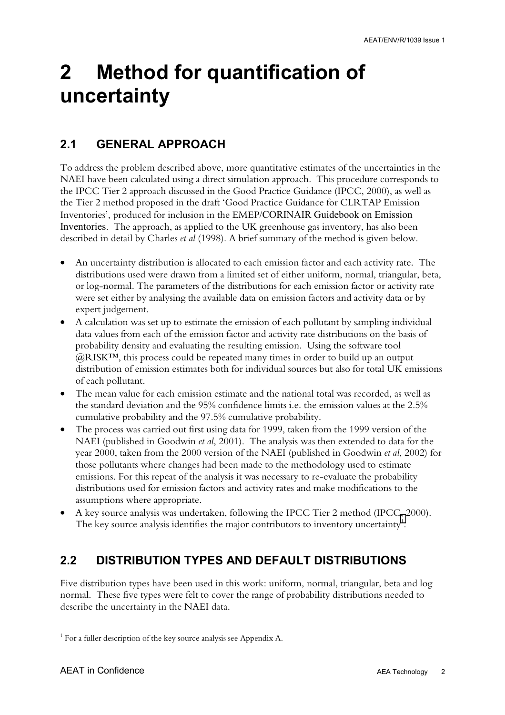## <span id="page-8-0"></span>**2 Method for quantification of uncertainty**

### **2.1 GENERAL APPROACH**

To address the problem described above, more quantitative estimates of the uncertainties in the NAEI have been calculated using a direct simulation approach. This procedure corresponds to the IPCC Tier 2 approach discussed in the Good Practice Guidance (IPCC, 2000), as well as the Tier 2 method proposed in the draft 'Good Practice Guidance for CLRTAP Emission Inventories', produced for inclusion in the EMEP/CORINAIR Guidebook on Emission Inventories. The approach, as applied to the UK greenhouse gas inventory, has also been described in detail by Charles *et al* (1998). A brief summary of the method is given below.

- An uncertainty distribution is allocated to each emission factor and each activity rate. The distributions used were drawn from a limited set of either uniform, normal, triangular, beta, or log-normal. The parameters of the distributions for each emission factor or activity rate were set either by analysing the available data on emission factors and activity data or by expert judgement.
- A calculation was set up to estimate the emission of each pollutant by sampling individual data values from each of the emission factor and activity rate distributions on the basis of probability density and evaluating the resulting emission. Using the software tool @RISK™, this process could be repeated many times in order to build up an output distribution of emission estimates both for individual sources but also for total UK emissions of each pollutant.
- The mean value for each emission estimate and the national total was recorded, as well as the standard deviation and the 95% confidence limits i.e. the emission values at the 2.5% cumulative probability and the 97.5% cumulative probability.
- The process was carried out first using data for 1999, taken from the 1999 version of the NAEI (published in Goodwin *et al*, 2001). The analysis was then extended to data for the year 2000, taken from the 2000 version of the NAEI (published in Goodwin *et al*, 2002) for those pollutants where changes had been made to the methodology used to estimate emissions. For this repeat of the analysis it was necessary to re-evaluate the probability distributions used for emission factors and activity rates and make modifications to the assumptions where appropriate.
- A key source analysis was undertaken, following the IPCC Tier 2 method (IPCC, 2000). The key source analysis identifies the major contributors to inventory uncertainty $^1$ .

### **2.2 DISTRIBUTION TYPES AND DEFAULT DISTRIBUTIONS**

Five distribution types have been used in this work: uniform, normal, triangular, beta and log normal. These five types were felt to cover the range of probability distributions needed to describe the uncertainty in the NAEI data.

 $\overline{a}$ <sup>1</sup> For a fuller description of the key source analysis see Appendix A.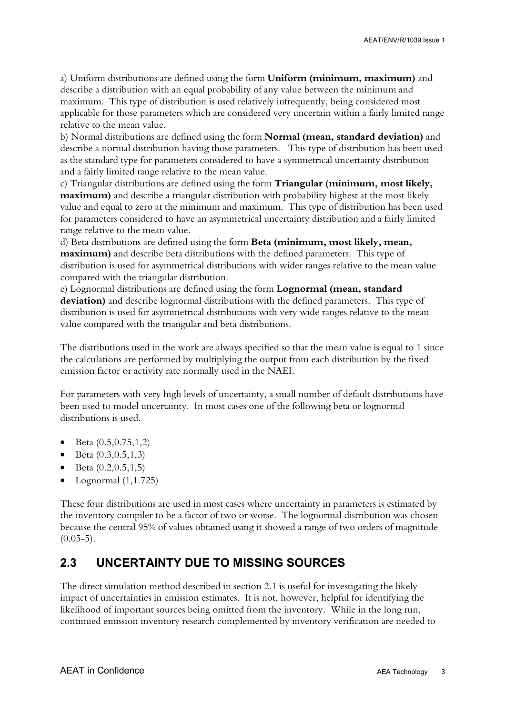<span id="page-9-0"></span>a) Uniform distributions are defined using the form **Uniform (minimum, maximum)** and describe a distribution with an equal probability of any value between the minimum and maximum. This type of distribution is used relatively infrequently, being considered most applicable for those parameters which are considered very uncertain within a fairly limited range relative to the mean value.

b) Normal distributions are defined using the form **Normal (mean, standard deviation)** and describe a normal distribution having those parameters. This type of distribution has been used as the standard type for parameters considered to have a symmetrical uncertainty distribution and a fairly limited range relative to the mean value.

c) Triangular distributions are defined using the form **Triangular (minimum, most likely, maximum**) and describe a triangular distribution with probability highest at the most likely value and equal to zero at the minimum and maximum. This type of distribution has been used for parameters considered to have an asymmetrical uncertainty distribution and a fairly limited range relative to the mean value.

d) Beta distributions are defined using the form **Beta (minimum, most likely, mean, maximum)** and describe beta distributions with the defined parameters. This type of distribution is used for asymmetrical distributions with wider ranges relative to the mean value compared with the triangular distribution.

e) Lognormal distributions are defined using the form **Lognormal (mean, standard deviation)** and describe lognormal distributions with the defined parameters. This type of distribution is used for asymmetrical distributions with very wide ranges relative to the mean value compared with the triangular and beta distributions.

The distributions used in the work are always specified so that the mean value is equal to 1 since the calculations are performed by multiplying the output from each distribution by the fixed emission factor or activity rate normally used in the NAEI.

For parameters with very high levels of uncertainty, a small number of default distributions have been used to model uncertainty. In most cases one of the following beta or lognormal distributions is used.

- Beta (0.5,0.75,1,2)
- Beta  $(0.3, 0.5, 1.3)$
- Beta  $(0.2, 0.5, 1, 5)$
- Lognormal (1,1.725)

These four distributions are used in most cases where uncertainty in parameters is estimated by the inventory compiler to be a factor of two or worse. The lognormal distribution was chosen because the central 95% of values obtained using it showed a range of two orders of magnitude  $(0.05-5)$ .

#### **2.3 UNCERTAINTY DUE TO MISSING SOURCES**

The direct simulation method described in section 2.1 is useful for investigating the likely impact of uncertainties in emission estimates. It is not, however, helpful for identifying the likelihood of important sources being omitted from the inventory. While in the long run, continued emission inventory research complemented by inventory verification are needed to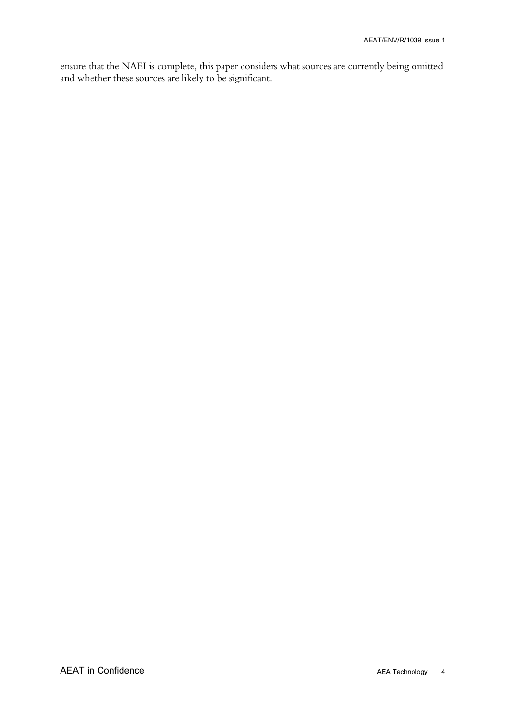ensure that the NAEI is complete, this paper considers what sources are currently being omitted and whether these sources are likely to be significant.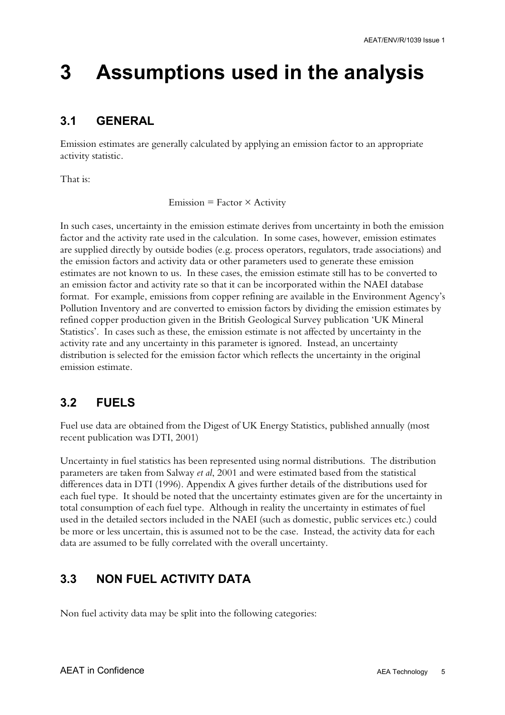## <span id="page-11-0"></span>**3 Assumptions used in the analysis**

### **3.1 GENERAL**

Emission estimates are generally calculated by applying an emission factor to an appropriate activity statistic.

That is:

 $Emission = Factor \times Activity$ 

In such cases, uncertainty in the emission estimate derives from uncertainty in both the emission factor and the activity rate used in the calculation. In some cases, however, emission estimates are supplied directly by outside bodies (e.g. process operators, regulators, trade associations) and the emission factors and activity data or other parameters used to generate these emission estimates are not known to us. In these cases, the emission estimate still has to be converted to an emission factor and activity rate so that it can be incorporated within the NAEI database format. For example, emissions from copper refining are available in the Environment Agency's Pollution Inventory and are converted to emission factors by dividing the emission estimates by refined copper production given in the British Geological Survey publication 'UK Mineral Statistics'. In cases such as these, the emission estimate is not affected by uncertainty in the activity rate and any uncertainty in this parameter is ignored. Instead, an uncertainty distribution is selected for the emission factor which reflects the uncertainty in the original emission estimate.

### **3.2 FUELS**

Fuel use data are obtained from the Digest of UK Energy Statistics, published annually (most recent publication was DTI, 2001)

Uncertainty in fuel statistics has been represented using normal distributions. The distribution parameters are taken from Salway *et al*, 2001 and were estimated based from the statistical differences data in DTI (1996). Appendix A gives further details of the distributions used for each fuel type. It should be noted that the uncertainty estimates given are for the uncertainty in total consumption of each fuel type. Although in reality the uncertainty in estimates of fuel used in the detailed sectors included in the NAEI (such as domestic, public services etc.) could be more or less uncertain, this is assumed not to be the case. Instead, the activity data for each data are assumed to be fully correlated with the overall uncertainty.

### **3.3 NON FUEL ACTIVITY DATA**

Non fuel activity data may be split into the following categories: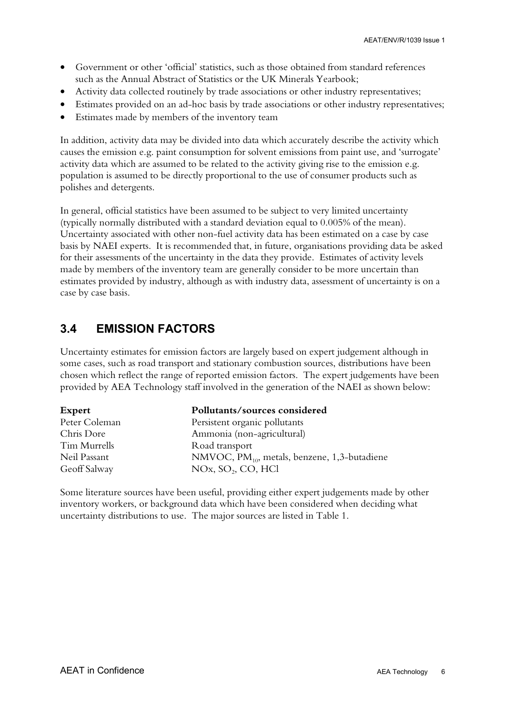- <span id="page-12-0"></span>• Government or other 'official' statistics, such as those obtained from standard references such as the Annual Abstract of Statistics or the UK Minerals Yearbook;
- Activity data collected routinely by trade associations or other industry representatives;
- Estimates provided on an ad-hoc basis by trade associations or other industry representatives;
- Estimates made by members of the inventory team

In addition, activity data may be divided into data which accurately describe the activity which causes the emission e.g. paint consumption for solvent emissions from paint use, and 'surrogate' activity data which are assumed to be related to the activity giving rise to the emission e.g. population is assumed to be directly proportional to the use of consumer products such as polishes and detergents.

In general, official statistics have been assumed to be subject to very limited uncertainty (typically normally distributed with a standard deviation equal to 0.005% of the mean). Uncertainty associated with other non-fuel activity data has been estimated on a case by case basis by NAEI experts. It is recommended that, in future, organisations providing data be asked for their assessments of the uncertainty in the data they provide. Estimates of activity levels made by members of the inventory team are generally consider to be more uncertain than estimates provided by industry, although as with industry data, assessment of uncertainty is on a case by case basis.

### **3.4 EMISSION FACTORS**

Uncertainty estimates for emission factors are largely based on expert judgement although in some cases, such as road transport and stationary combustion sources, distributions have been chosen which reflect the range of reported emission factors. The expert judgements have been provided by AEA Technology staff involved in the generation of the NAEI as shown below:

| Expert        | Pollutants/sources considered                     |
|---------------|---------------------------------------------------|
| Peter Coleman | Persistent organic pollutants                     |
| Chris Dore    | Ammonia (non-agricultural)                        |
| Tim Murrells  | Road transport                                    |
| Neil Passant  | NMVOC, $PM_{10}$ , metals, benzene, 1,3-butadiene |
| Geoff Salway  | NOx, SO <sub>2</sub> , CO, HCl                    |

Some literature sources have been useful, providing either expert judgements made by other inventory workers, or background data which have been considered when deciding what uncertainty distributions to use. The major sources are listed in Table 1.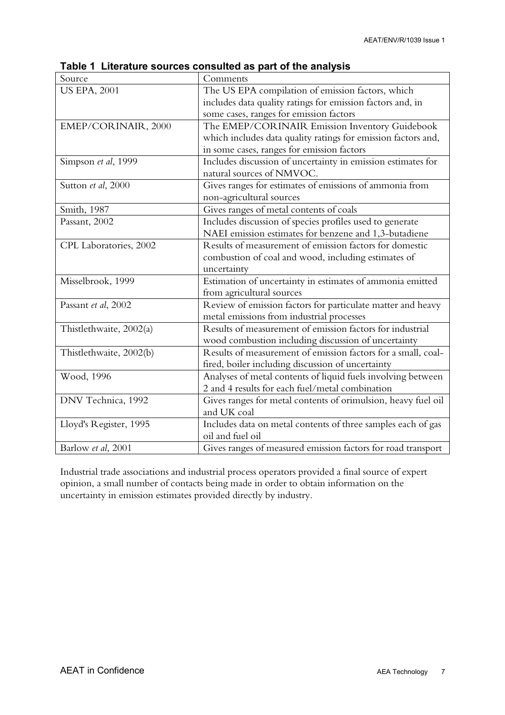| Source                  | Comments                                                      |
|-------------------------|---------------------------------------------------------------|
| <b>US EPA, 2001</b>     | The US EPA compilation of emission factors, which             |
|                         | includes data quality ratings for emission factors and, in    |
|                         | some cases, ranges for emission factors                       |
| EMEP/CORINAIR, 2000     | The EMEP/CORINAIR Emission Inventory Guidebook                |
|                         | which includes data quality ratings for emission factors and, |
|                         | in some cases, ranges for emission factors                    |
| Simpson et al, 1999     | Includes discussion of uncertainty in emission estimates for  |
|                         | natural sources of NMVOC.                                     |
| Sutton et al, 2000      | Gives ranges for estimates of emissions of ammonia from       |
|                         | non-agricultural sources                                      |
| Smith, 1987             | Gives ranges of metal contents of coals                       |
| Passant, 2002           | Includes discussion of species profiles used to generate      |
|                         | NAEI emission estimates for benzene and 1,3-butadiene         |
| CPL Laboratories, 2002  | Results of measurement of emission factors for domestic       |
|                         | combustion of coal and wood, including estimates of           |
|                         | uncertainty                                                   |
| Misselbrook, 1999       | Estimation of uncertainty in estimates of ammonia emitted     |
|                         | from agricultural sources                                     |
| Passant et al, 2002     | Review of emission factors for particulate matter and heavy   |
|                         | metal emissions from industrial processes                     |
| Thistlethwaite, 2002(a) | Results of measurement of emission factors for industrial     |
|                         | wood combustion including discussion of uncertainty           |
| Thistlethwaite, 2002(b) | Results of measurement of emission factors for a small, coal- |
|                         | fired, boiler including discussion of uncertainty             |
| Wood, 1996              | Analyses of metal contents of liquid fuels involving between  |
|                         | 2 and 4 results for each fuel/metal combination               |
| DNV Technica, 1992      | Gives ranges for metal contents of orimulsion, heavy fuel oil |
|                         | and UK coal                                                   |
| Lloyd's Register, 1995  | Includes data on metal contents of three samples each of gas  |
|                         | oil and fuel oil                                              |
| Barlow et al, 2001      | Gives ranges of measured emission factors for road transport  |

**Table 1 Literature sources consulted as part of the analysis**

Industrial trade associations and industrial process operators provided a final source of expert opinion, a small number of contacts being made in order to obtain information on the uncertainty in emission estimates provided directly by industry.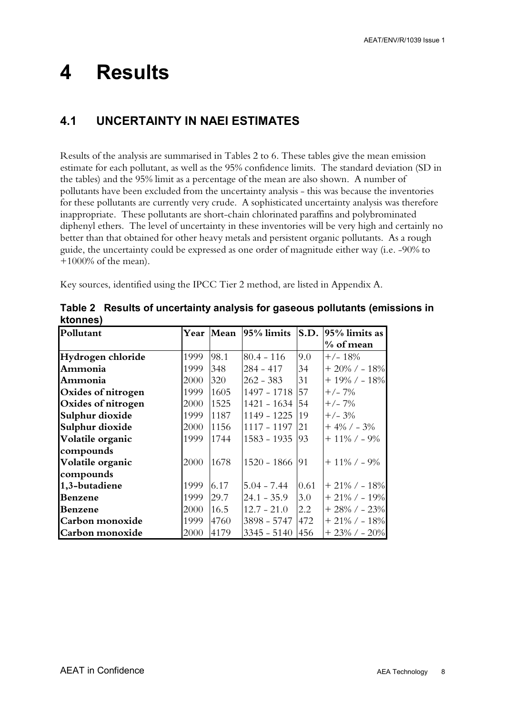## <span id="page-14-0"></span>**4 Results**

### **4.1 UNCERTAINTY IN NAEI ESTIMATES**

Results of the analysis are summarised in Tables 2 to 6. These tables give the mean emission estimate for each pollutant, as well as the 95% confidence limits. The standard deviation (SD in the tables) and the 95% limit as a percentage of the mean are also shown. A number of pollutants have been excluded from the uncertainty analysis - this was because the inventories for these pollutants are currently very crude. A sophisticated uncertainty analysis was therefore inappropriate. These pollutants are short-chain chlorinated paraffins and polybrominated diphenyl ethers. The level of uncertainty in these inventories will be very high and certainly no better than that obtained for other heavy metals and persistent organic pollutants. As a rough guide, the uncertainty could be expressed as one order of magnitude either way (i.e. -90% to +1000% of the mean).

Key sources, identified using the IPCC Tier 2 method, are listed in Appendix A.

| Pollutant          |      | Year Mean | 95% limits     | S.D. | $ 95\%$ limits as  |
|--------------------|------|-----------|----------------|------|--------------------|
|                    |      |           |                |      | % of mean          |
| Hydrogen chloride  | 1999 | 98.1      | $80.4 - 116$   | 9.0  | $+/- 18%$          |
| Ammonia            | 1999 | 348       | $284 - 417$    | 34   | $+20\%$ / - 18%    |
| Ammonia            | 2000 | 320       | $262 - 383$    | 31   | $+ 19\% / - 18\%$  |
| Oxides of nitrogen | 1999 | 1605      | 1497 - 1718    | 57   | $+/- 7\%$          |
| Oxides of nitrogen | 2000 | 1525      | $1421 - 1634$  | 54   | $+/- 7\%$          |
| Sulphur dioxide    | 1999 | 1187      | $1149 - 1225$  | 19   | $+/- 3%$           |
| Sulphur dioxide    | 2000 | 1156      | 1117 - 1197    | 21   | $+4\%$ / $-3\%$    |
| Volatile organic   | 1999 | 1744      | $1583 - 1935$  | 93   | $+11\%$ / - 9%     |
| compounds          |      |           |                |      |                    |
| Volatile organic   | 2000 | 1678      | 1520 - 1866 91 |      | $+11\%$ / - 9%     |
| compounds          |      |           |                |      |                    |
| 1,3-butadiene      | 1999 | 6.17      | $5.04 - 7.44$  | 0.61 | $+21\%$ / - 18%    |
| Benzene            | 1999 | 29.7      | $24.1 - 35.9$  | 3.0  | $+21\%$ / - 19%    |
| Benzene            | 2000 | 16.5      | $12.7 - 21.0$  | 2.2  | $+28\%$ / $-23\%$  |
| Carbon monoxide    | 1999 | 4760      | $3898 - 5747$  | 472  | $+21\%$ / - 18%    |
| Carbon monoxide    | 2000 | 4179      | $3345 - 5140$  | 456  | $+23\%$ / - $20\%$ |

**Table 2 Results of uncertainty analysis for gaseous pollutants (emissions in ktonnes)**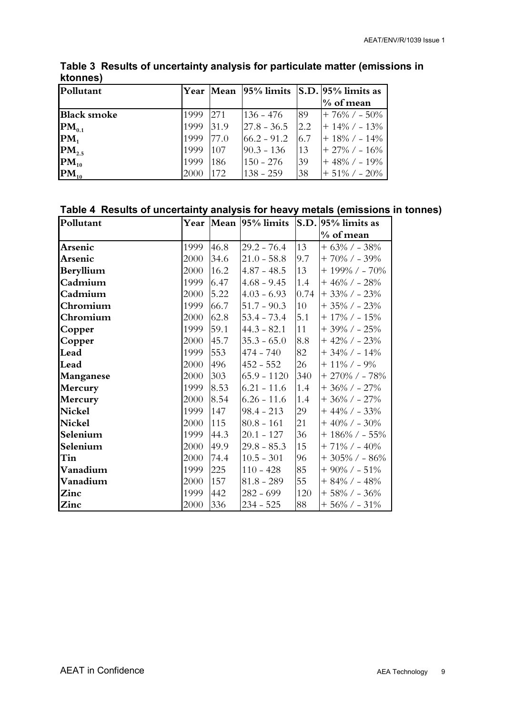| Pollutant          |      |      |               |     | Year Mean   95% limits   S.D.   95% limits as |
|--------------------|------|------|---------------|-----|-----------------------------------------------|
|                    |      |      |               |     | $\%$ of mean                                  |
| <b>Black smoke</b> | 1999 | 271  | $136 - 476$   | -89 | $+76\%$ / $-50\%$                             |
| $PM_{0.1}$         | 1999 | 31.9 | $27.8 - 36.5$ | 2.2 | $+ 14\% / - 13\%$                             |
| $PM_1$             | 1999 | 77.0 | $66.2 - 91.2$ | 6.7 | $+ 18\% / - 14\%$                             |
| $PM_{2.5}$         | 1999 | 107  | $90.3 - 136$  | 13  | $+27\%$ / - 16\%                              |
| $PM_{10}$          | 1999 | 186  | 150 - 276     | 39  | $+48\%$ / - 19%                               |
| $PM_{10}$          | 2000 | 172  | $138 - 259$   | 38  | $+51\%$ / $-20\%$                             |

**Table 3 Results of uncertainty analysis for particulate matter (emissions in ktonnes)**

#### **Table 4 Results of uncertainty analysis for heavy metals (emissions in tonnes)**

| Pollutant     |      |      |                 |      | Year Mean 95% limits S.D. 95% limits as |
|---------------|------|------|-----------------|------|-----------------------------------------|
|               |      |      |                 |      | % of mean                               |
| Arsenic       | 1999 | 46.8 | $29.2 - 76.4$   | 13   | $+63\%$ / - 38%                         |
| Arsenic       | 2000 | 34.6 | $ 21.0 - 58.8 $ | 9.7  | $+70\%$ / - 39%                         |
| Beryllium     | 2000 | 16.2 | $4.87 - 48.5$   | 13   | $+$ 199% / - 70%                        |
| Cadmium       | 1999 | 6.47 | $4.68 - 9.45$   | 1.4  | $+46\%$ / - 28%                         |
| Cadmium       | 2000 | 5.22 | $4.03 - 6.93$   | 0.74 | $+33\%$ / $-23\%$                       |
| Chromium      | 1999 | 66.7 | $51.7 - 90.3$   | 10   | $+35\%$ / $-23\%$                       |
| Chromium      | 2000 | 62.8 | $53.4 - 73.4$   | 5.1  | $+$ 17% / - 15%                         |
| Copper        | 1999 | 59.1 | $44.3 - 82.1$   | 11   | $+39\%$ / - 25%                         |
| Copper        | 2000 | 45.7 | $35.3 - 65.0$   | 8.8  | $+42\%$ / - 23%                         |
| Lead          | 1999 | 553  | $474 - 740$     | 82   | $+34\%$ / - 14%                         |
| Lead          | 2000 | 496  | $452 - 552$     | 26   | $+ 11\% / - 9\%$                        |
| Manganese     | 2000 | 303  | $65.9 - 1120$   | 340  | $+270\%$ / - 78%                        |
| Mercury       | 1999 | 8.53 | $6.21 - 11.6$   | 1.4  | $+36\%$ / - 27%                         |
| Mercury       | 2000 | 8.54 | $6.26 - 11.6$   | 1.4  | $+36\%$ / $-27\%$                       |
| <b>Nickel</b> | 1999 | 147  | $98.4 - 213$    | 29   | $+44\%$ / $-33\%$                       |
| <b>Nickel</b> | 2000 | 115  | $80.8 - 161$    | 21   | $+40\%$ / $-30\%$                       |
| Selenium      | 1999 | 44.3 | $20.1 - 127$    | 36   | $+$ 186% / - 55%                        |
| Selenium      | 2000 | 49.9 | $29.8 - 85.3$   | 15   | $+71\%$ / - 40%                         |
| Tin           | 2000 | 74.4 | $10.5 - 301$    | 96   | $+305\%$ / $-86\%$                      |
| Vanadium      | 1999 | 225  | $110 - 428$     | 85   | $+90\%$ / $-51\%$                       |
| Vanadium      | 2000 | 157  | $81.8 - 289$    | 55   | $+84\%$ / - $48\%$                      |
| Zinc          | 1999 | 442  | $282 - 699$     | 120  | $+58\%$ / - 36%                         |
| Zinc          | 2000 | 336  | $234 - 525$     | 88   | $+56\%$ / - $31\%$                      |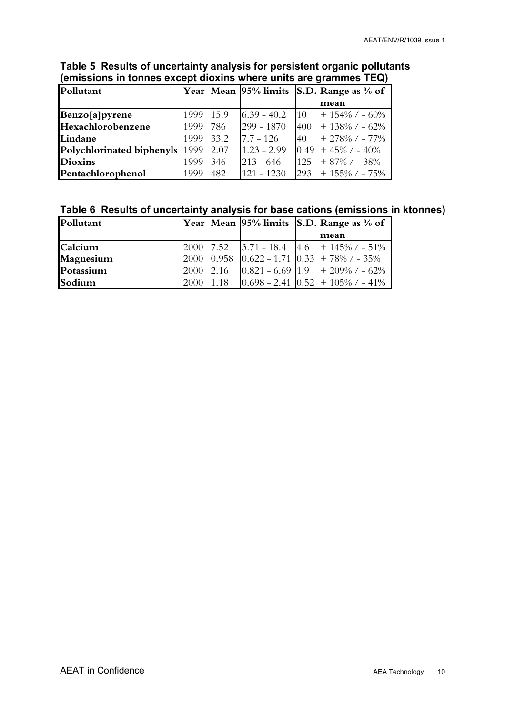| Pollutant                 |      |      | Year Mean 95% limits |            | $ S.D. $ Range as % of |
|---------------------------|------|------|----------------------|------------|------------------------|
|                           |      |      |                      |            | mean                   |
| Benzo[a]pyrene            | 1999 | 15.9 | $6.39 - 40.2$        | 10         | $+ 154\%$ / - 60%      |
| Hexachlorobenzene         | 1999 | 786  | $299 - 1870$         | <b>400</b> | $+ 138\% / - 62\%$     |
| Lindane                   | 1999 | 33.2 | $7.7 - 126$          | 40         | $+278\%$ / - 77%       |
| Polychlorinated biphenyls | 1999 | 2.07 | $1.23 - 2.99$        | 0.49       | $+45\%$ / $-40\%$      |
| <b>Dioxins</b>            | 1999 | 346  | $ 213 - 646$         | 125        | $+87\%$ / $-38\%$      |
| Pentachlorophenol         | 1999 | 482  | $121 - 1230$         | 293        | $+ 155\%$ / $- 75\%$   |

#### **Table 5 Results of uncertainty analysis for persistent organic pollutants (emissions in tonnes except dioxins where units are grammes TEQ)**

#### **Table 6 Results of uncertainty analysis for base cations (emissions in ktonnes)**

| Pollutant |           |      |  | $ Year Mean 95\%$ limits $ S.D. Range$ as % of $ $                                 |
|-----------|-----------|------|--|------------------------------------------------------------------------------------|
|           |           |      |  | mean                                                                               |
| Calcium   |           |      |  | $\begin{bmatrix} 2000 & 7.52 & 3.71 & -18.4 & 4.6 & + 145\% & -51\% \end{bmatrix}$ |
| Magnesium |           |      |  | $\left 2000\right 0.958\right 0.622 - 1.71\left 0.33\right  + 78\%$ / $-35\%$      |
| Potassium | 2000      | 2.16 |  | $0.821 - 6.69$ 1.9 + 209% / - 62%                                                  |
| Sodium    | 2000 1.18 |      |  | $\left  0.698 - 2.41 \right  \left  0.52 \right  + 105\%$ / - 41%                  |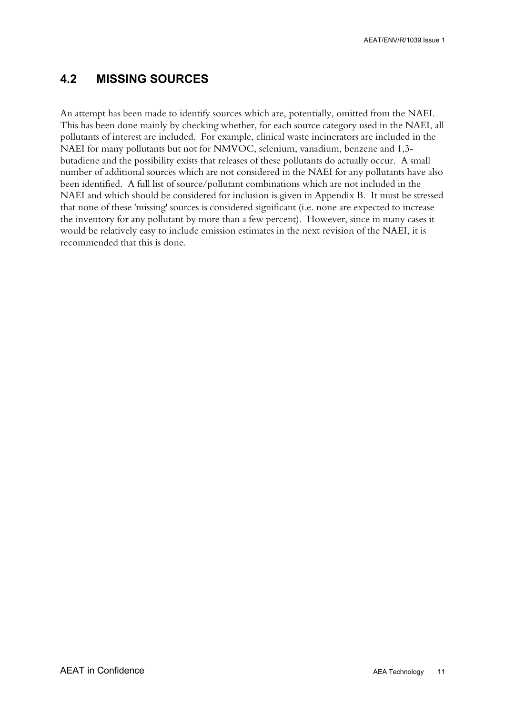#### <span id="page-17-0"></span>**4.2 MISSING SOURCES**

An attempt has been made to identify sources which are, potentially, omitted from the NAEI. This has been done mainly by checking whether, for each source category used in the NAEI, all pollutants of interest are included. For example, clinical waste incinerators are included in the NAEI for many pollutants but not for NMVOC, selenium, vanadium, benzene and 1,3 butadiene and the possibility exists that releases of these pollutants do actually occur. A small number of additional sources which are not considered in the NAEI for any pollutants have also been identified. A full list of source/pollutant combinations which are not included in the NAEI and which should be considered for inclusion is given in Appendix B. It must be stressed that none of these 'missing' sources is considered significant (i.e. none are expected to increase the inventory for any pollutant by more than a few percent). However, since in many cases it would be relatively easy to include emission estimates in the next revision of the NAEI, it is recommended that this is done.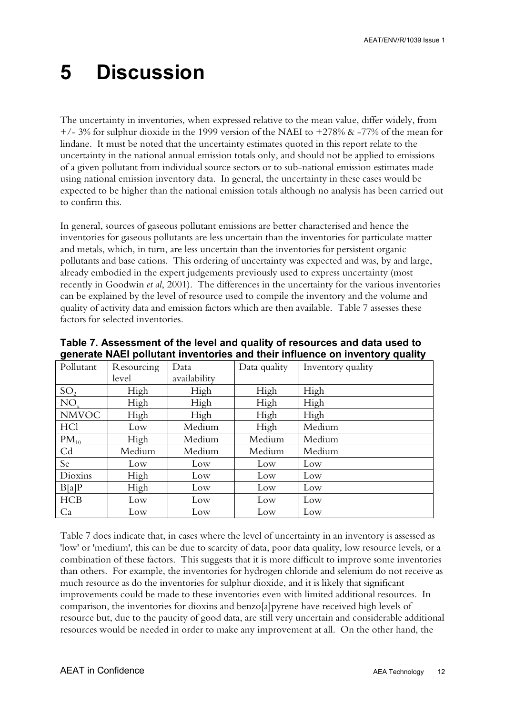## <span id="page-18-0"></span>**5 Discussion**

The uncertainty in inventories, when expressed relative to the mean value, differ widely, from  $+/- 3\%$  for sulphur dioxide in the 1999 version of the NAEI to  $+278\%$  & -77% of the mean for lindane. It must be noted that the uncertainty estimates quoted in this report relate to the uncertainty in the national annual emission totals only, and should not be applied to emissions of a given pollutant from individual source sectors or to sub-national emission estimates made using national emission inventory data. In general, the uncertainty in these cases would be expected to be higher than the national emission totals although no analysis has been carried out to confirm this.

In general, sources of gaseous pollutant emissions are better characterised and hence the inventories for gaseous pollutants are less uncertain than the inventories for particulate matter and metals, which, in turn, are less uncertain than the inventories for persistent organic pollutants and base cations. This ordering of uncertainty was expected and was, by and large, already embodied in the expert judgements previously used to express uncertainty (most recently in Goodwin *et al*, 2001). The differences in the uncertainty for the various inventories can be explained by the level of resource used to compile the inventory and the volume and quality of activity data and emission factors which are then available. Table 7 assesses these factors for selected inventories.

| Pollutant       | Resourcing | Data         | Data quality | Inventory quality |
|-----------------|------------|--------------|--------------|-------------------|
|                 | level      | availability |              |                   |
| SO <sub>2</sub> | High       | High         | High         | High              |
| $NO_{x}$        | High       | High         | High         | High              |
| <b>NMVOC</b>    | High       | High         | High         | High              |
| HCl             | Low        | Medium       | High         | Medium            |
| $PM_{10}$       | High       | Medium       | Medium       | Medium            |
| C <sub>d</sub>  | Medium     | Medium       | Medium       | Medium            |
| Se              | Low        | Low          | Low          | Low               |
| Dioxins         | High       | Low          | Low          | Low               |
| B[a]P           | High       | Low          | Low          | Low               |
| <b>HCB</b>      | Low        | Low          | Low          | Low               |
| Ca              | Low        | Low          | Low          | Low               |

**Table 7. Assessment of the level and quality of resources and data used to generate NAEI pollutant inventories and their influence on inventory quality**

Table 7 does indicate that, in cases where the level of uncertainty in an inventory is assessed as 'low' or 'medium', this can be due to scarcity of data, poor data quality, low resource levels, or a combination of these factors. This suggests that it is more difficult to improve some inventories than others. For example, the inventories for hydrogen chloride and selenium do not receive as much resource as do the inventories for sulphur dioxide, and it is likely that significant improvements could be made to these inventories even with limited additional resources. In comparison, the inventories for dioxins and benzo[a]pyrene have received high levels of resource but, due to the paucity of good data, are still very uncertain and considerable additional resources would be needed in order to make any improvement at all. On the other hand, the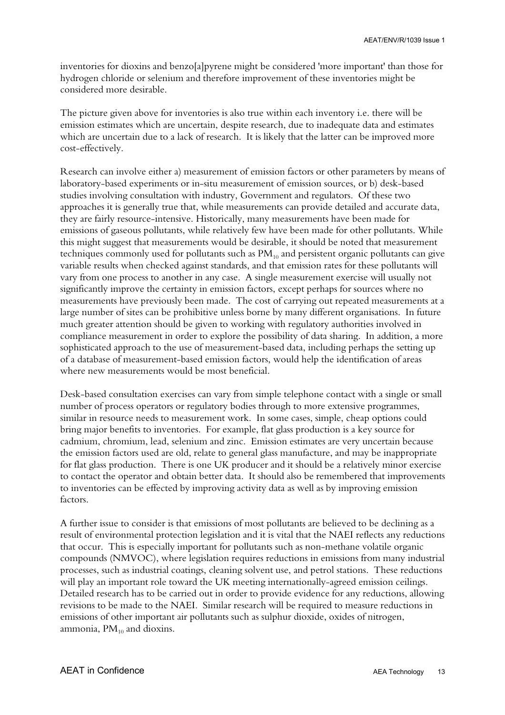inventories for dioxins and benzo[a]pyrene might be considered 'more important' than those for hydrogen chloride or selenium and therefore improvement of these inventories might be considered more desirable.

The picture given above for inventories is also true within each inventory i.e. there will be emission estimates which are uncertain, despite research, due to inadequate data and estimates which are uncertain due to a lack of research. It is likely that the latter can be improved more cost-effectively.

Research can involve either a) measurement of emission factors or other parameters by means of laboratory-based experiments or in-situ measurement of emission sources, or b) desk-based studies involving consultation with industry, Government and regulators. Of these two approaches it is generally true that, while measurements can provide detailed and accurate data, they are fairly resource-intensive. Historically, many measurements have been made for emissions of gaseous pollutants, while relatively few have been made for other pollutants. While this might suggest that measurements would be desirable, it should be noted that measurement techniques commonly used for pollutants such as  $PM_{10}$  and persistent organic pollutants can give variable results when checked against standards, and that emission rates for these pollutants will vary from one process to another in any case. A single measurement exercise will usually not significantly improve the certainty in emission factors, except perhaps for sources where no measurements have previously been made. The cost of carrying out repeated measurements at a large number of sites can be prohibitive unless borne by many different organisations. In future much greater attention should be given to working with regulatory authorities involved in compliance measurement in order to explore the possibility of data sharing. In addition, a more sophisticated approach to the use of measurement-based data, including perhaps the setting up of a database of measurement-based emission factors, would help the identification of areas where new measurements would be most beneficial.

Desk-based consultation exercises can vary from simple telephone contact with a single or small number of process operators or regulatory bodies through to more extensive programmes, similar in resource needs to measurement work. In some cases, simple, cheap options could bring major benefits to inventories. For example, flat glass production is a key source for cadmium, chromium, lead, selenium and zinc. Emission estimates are very uncertain because the emission factors used are old, relate to general glass manufacture, and may be inappropriate for flat glass production. There is one UK producer and it should be a relatively minor exercise to contact the operator and obtain better data. It should also be remembered that improvements to inventories can be effected by improving activity data as well as by improving emission factors.

A further issue to consider is that emissions of most pollutants are believed to be declining as a result of environmental protection legislation and it is vital that the NAEI reflects any reductions that occur. This is especially important for pollutants such as non-methane volatile organic compounds (NMVOC), where legislation requires reductions in emissions from many industrial processes, such as industrial coatings, cleaning solvent use, and petrol stations. These reductions will play an important role toward the UK meeting internationally-agreed emission ceilings. Detailed research has to be carried out in order to provide evidence for any reductions, allowing revisions to be made to the NAEI. Similar research will be required to measure reductions in emissions of other important air pollutants such as sulphur dioxide, oxides of nitrogen, ammonia,  $PM_{10}$  and dioxins.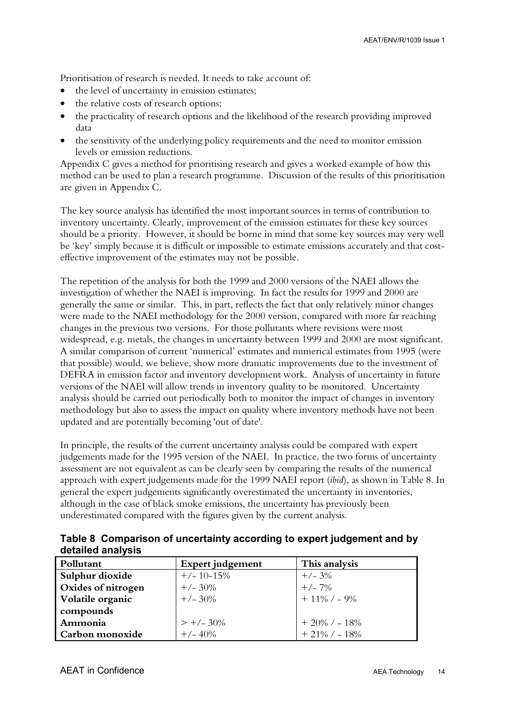Prioritisation of research is needed. It needs to take account of:

- the level of uncertainty in emission estimates;
- the relative costs of research options;
- the practicality of research options and the likelihood of the research providing improved data
- the sensitivity of the underlying policy requirements and the need to monitor emission levels or emission reductions.

Appendix C gives a method for prioritising research and gives a worked example of how this method can be used to plan a research programme. Discussion of the results of this prioritisation are given in Appendix C.

The key source analysis has identified the most important sources in terms of contribution to inventory uncertainty. Clearly, improvement of the emission estimates for these key sources should be a priority. However, it should be borne in mind that some key sources may very well be 'key' simply because it is difficult or impossible to estimate emissions accurately and that costeffective improvement of the estimates may not be possible.

The repetition of the analysis for both the 1999 and 2000 versions of the NAEI allows the investigation of whether the NAEI is improving. In fact the results for 1999 and 2000 are generally the same or similar. This, in part, reflects the fact that only relatively minor changes were made to the NAEI methodology for the 2000 version, compared with more far reaching changes in the previous two versions. For those pollutants where revisions were most widespread, e.g. metals, the changes in uncertainty between 1999 and 2000 are most significant. A similar comparison of current 'numerical' estimates and numerical estimates from 1995 (were that possible) would, we believe, show more dramatic improvements due to the investment of DEFRA in emission factor and inventory development work. Analysis of uncertainty in future versions of the NAEI will allow trends in inventory quality to be monitored. Uncertainty analysis should be carried out periodically both to monitor the impact of changes in inventory methodology but also to assess the impact on quality where inventory methods have not been updated and are potentially becoming 'out of date'.

In principle, the results of the current uncertainty analysis could be compared with expert judgements made for the 1995 version of the NAEI. In practice, the two forms of uncertainty assessment are not equivalent as can be clearly seen by comparing the results of the numerical approach with expert judgements made for the 1999 NAEI report (*ibid*), as shown in Table 8. In general the expert judgements significantly overestimated the uncertainty in inventories, although in the case of black smoke emissions, the uncertainty has previously been underestimated compared with the figures given by the current analysis.

| actailed allalyois |                  |                 |
|--------------------|------------------|-----------------|
| Pollutant          | Expert judgement | This analysis   |
| Sulphur dioxide    | $+/- 10-15%$     | $+/- 3\%$       |
| Oxides of nitrogen | $+/- 30\%$       | $+/- 7%$        |
| Volatile organic   | $+/- 30\%$       | $+11\%$ / - 9%  |
| compounds          |                  |                 |
| Ammonia            | $> +/- 30\%$     | $+20\%$ / - 18% |
| Carbon monoxide    | $+/- 40%$        | $+21\%$ / - 18% |

**Table 8 Comparison of uncertainty according to expert judgement and by detailed analysis**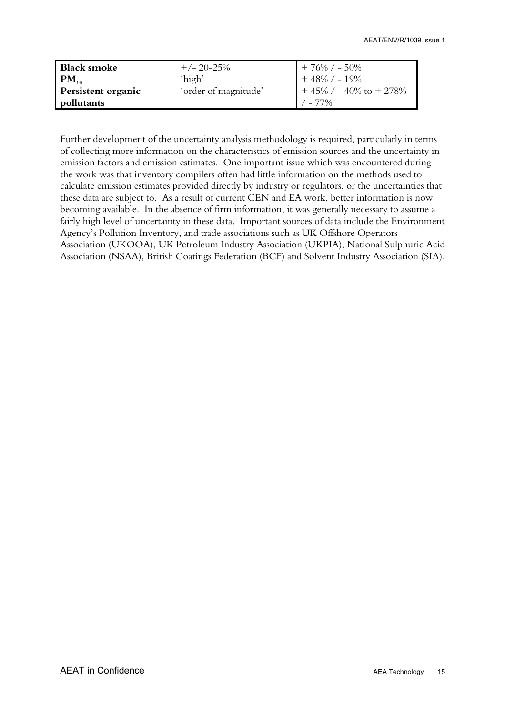| <b>Black smoke</b> | $+/- 20 - 25%$       | $+76\%$ / $-50\%$           |
|--------------------|----------------------|-----------------------------|
| $PM_{10}$          | 'high'               | $+48\%$ / $-19\%$           |
| Persistent organic | 'order of magnitude' | $+45\%$ / - 40\% to + 278\% |
| pollutants         |                      | $/ - 77\%$                  |

Further development of the uncertainty analysis methodology is required, particularly in terms of collecting more information on the characteristics of emission sources and the uncertainty in emission factors and emission estimates. One important issue which was encountered during the work was that inventory compilers often had little information on the methods used to calculate emission estimates provided directly by industry or regulators, or the uncertainties that these data are subject to. As a result of current CEN and EA work, better information is now becoming available. In the absence of firm information, it was generally necessary to assume a fairly high level of uncertainty in these data. Important sources of data include the Environment Agency's Pollution Inventory, and trade associations such as UK Offshore Operators Association (UKOOA), UK Petroleum Industry Association (UKPIA), National Sulphuric Acid Association (NSAA), British Coatings Federation (BCF) and Solvent Industry Association (SIA).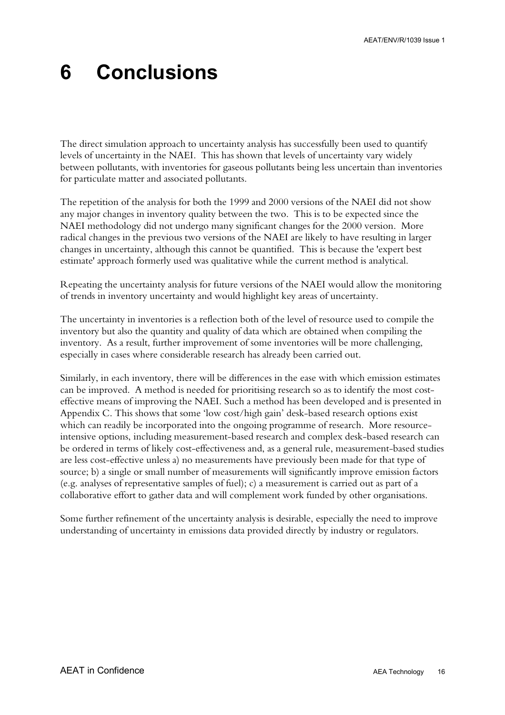## <span id="page-22-0"></span>**6 Conclusions**

The direct simulation approach to uncertainty analysis has successfully been used to quantify levels of uncertainty in the NAEI. This has shown that levels of uncertainty vary widely between pollutants, with inventories for gaseous pollutants being less uncertain than inventories for particulate matter and associated pollutants.

The repetition of the analysis for both the 1999 and 2000 versions of the NAEI did not show any major changes in inventory quality between the two. This is to be expected since the NAEI methodology did not undergo many significant changes for the 2000 version. More radical changes in the previous two versions of the NAEI are likely to have resulting in larger changes in uncertainty, although this cannot be quantified. This is because the 'expert best estimate' approach formerly used was qualitative while the current method is analytical.

Repeating the uncertainty analysis for future versions of the NAEI would allow the monitoring of trends in inventory uncertainty and would highlight key areas of uncertainty.

The uncertainty in inventories is a reflection both of the level of resource used to compile the inventory but also the quantity and quality of data which are obtained when compiling the inventory. As a result, further improvement of some inventories will be more challenging, especially in cases where considerable research has already been carried out.

Similarly, in each inventory, there will be differences in the ease with which emission estimates can be improved. A method is needed for prioritising research so as to identify the most costeffective means of improving the NAEI. Such a method has been developed and is presented in Appendix C. This shows that some 'low cost/high gain' desk-based research options exist which can readily be incorporated into the ongoing programme of research. More resourceintensive options, including measurement-based research and complex desk-based research can be ordered in terms of likely cost-effectiveness and, as a general rule, measurement-based studies are less cost-effective unless a) no measurements have previously been made for that type of source; b) a single or small number of measurements will significantly improve emission factors (e.g. analyses of representative samples of fuel); c) a measurement is carried out as part of a collaborative effort to gather data and will complement work funded by other organisations.

Some further refinement of the uncertainty analysis is desirable, especially the need to improve understanding of uncertainty in emissions data provided directly by industry or regulators.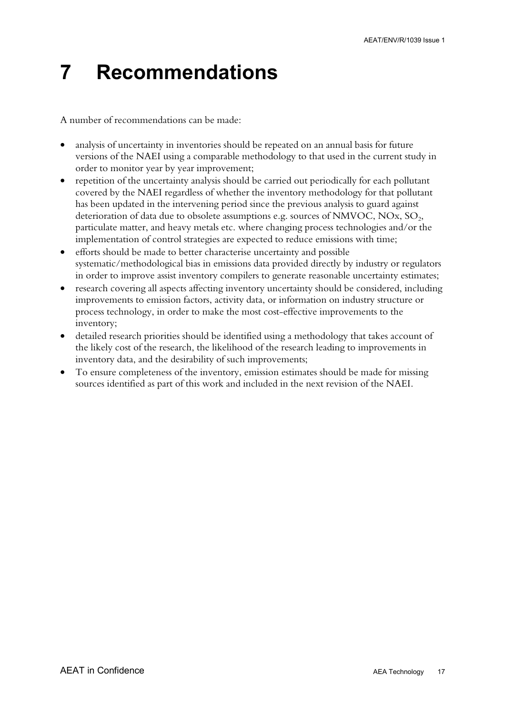## <span id="page-23-0"></span>**7 Recommendations**

A number of recommendations can be made:

- analysis of uncertainty in inventories should be repeated on an annual basis for future versions of the NAEI using a comparable methodology to that used in the current study in order to monitor year by year improvement;
- repetition of the uncertainty analysis should be carried out periodically for each pollutant covered by the NAEI regardless of whether the inventory methodology for that pollutant has been updated in the intervening period since the previous analysis to guard against deterioration of data due to obsolete assumptions e.g. sources of NMVOC, NOx, SO<sub>2</sub>, particulate matter, and heavy metals etc. where changing process technologies and/or the implementation of control strategies are expected to reduce emissions with time;
- efforts should be made to better characterise uncertainty and possible systematic/methodological bias in emissions data provided directly by industry or regulators in order to improve assist inventory compilers to generate reasonable uncertainty estimates;
- research covering all aspects affecting inventory uncertainty should be considered, including improvements to emission factors, activity data, or information on industry structure or process technology, in order to make the most cost-effective improvements to the inventory;
- detailed research priorities should be identified using a methodology that takes account of the likely cost of the research, the likelihood of the research leading to improvements in inventory data, and the desirability of such improvements;
- To ensure completeness of the inventory, emission estimates should be made for missing sources identified as part of this work and included in the next revision of the NAEI.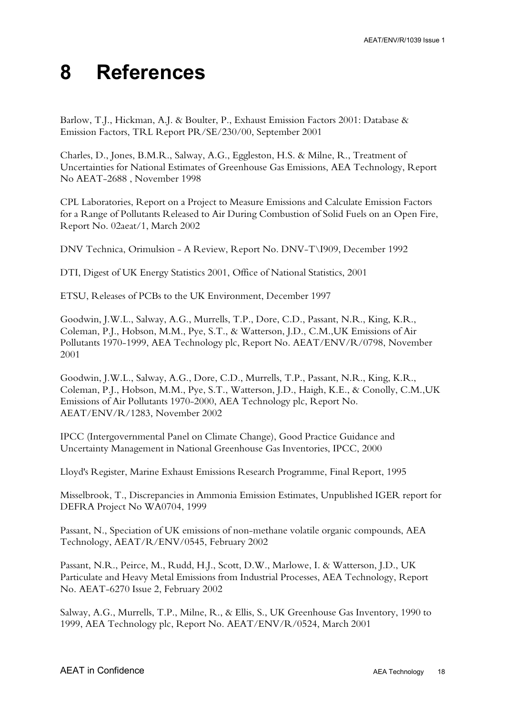## <span id="page-24-0"></span>**8 References**

Barlow, T.J., Hickman, A.J. & Boulter, P., Exhaust Emission Factors 2001: Database & Emission Factors, TRL Report PR/SE/230/00, September 2001

Charles, D., Jones, B.M.R., Salway, A.G., Eggleston, H.S. & Milne, R., Treatment of Uncertainties for National Estimates of Greenhouse Gas Emissions, AEA Technology, Report No AEAT-2688 , November 1998

CPL Laboratories, Report on a Project to Measure Emissions and Calculate Emission Factors for a Range of Pollutants Released to Air During Combustion of Solid Fuels on an Open Fire, Report No. 02aeat/1, March 2002

DNV Technica, Orimulsion - A Review, Report No. DNV-T\I909, December 1992

DTI, Digest of UK Energy Statistics 2001, Office of National Statistics, 2001

ETSU, Releases of PCBs to the UK Environment, December 1997

Goodwin, J.W.L., Salway, A.G., Murrells, T.P., Dore, C.D., Passant, N.R., King, K.R., Coleman, P.J., Hobson, M.M., Pye, S.T., & Watterson, J.D., C.M.,UK Emissions of Air Pollutants 1970-1999, AEA Technology plc, Report No. AEAT/ENV/R/0798, November 2001

Goodwin, J.W.L., Salway, A.G., Dore, C.D., Murrells, T.P., Passant, N.R., King, K.R., Coleman, P.J., Hobson, M.M., Pye, S.T., Watterson, J.D., Haigh, K.E., & Conolly, C.M.,UK Emissions of Air Pollutants 1970-2000, AEA Technology plc, Report No. AEAT/ENV/R/1283, November 2002

IPCC (Intergovernmental Panel on Climate Change), Good Practice Guidance and Uncertainty Management in National Greenhouse Gas Inventories, IPCC, 2000

Lloyd's Register, Marine Exhaust Emissions Research Programme, Final Report, 1995

Misselbrook, T., Discrepancies in Ammonia Emission Estimates, Unpublished IGER report for DEFRA Project No WA0704, 1999

Passant, N., Speciation of UK emissions of non-methane volatile organic compounds, AEA Technology, AEAT/R/ENV/0545, February 2002

Passant, N.R., Peirce, M., Rudd, H.J., Scott, D.W., Marlowe, I. & Watterson, J.D., UK Particulate and Heavy Metal Emissions from Industrial Processes, AEA Technology, Report No. AEAT-6270 Issue 2, February 2002

Salway, A.G., Murrells, T.P., Milne, R., & Ellis, S., UK Greenhouse Gas Inventory, 1990 to 1999, AEA Technology plc, Report No. AEAT/ENV/R/0524, March 2001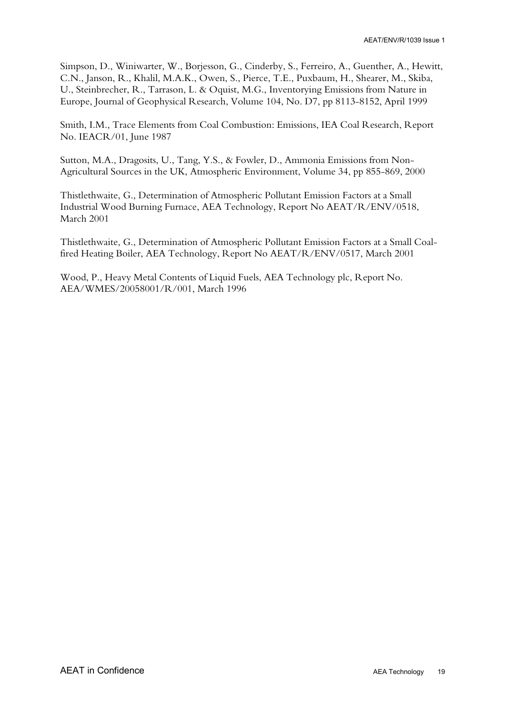Simpson, D., Winiwarter, W., Borjesson, G., Cinderby, S., Ferreiro, A., Guenther, A., Hewitt, C.N., Janson, R., Khalil, M.A.K., Owen, S., Pierce, T.E., Puxbaum, H., Shearer, M., Skiba, U., Steinbrecher, R., Tarrason, L. & Oquist, M.G., Inventorying Emissions from Nature in Europe, Journal of Geophysical Research, Volume 104, No. D7, pp 8113-8152, April 1999

Smith, I.M., Trace Elements from Coal Combustion: Emissions, IEA Coal Research, Report No. IEACR/01, June 1987

Sutton, M.A., Dragosits, U., Tang, Y.S., & Fowler, D., Ammonia Emissions from Non-Agricultural Sources in the UK, Atmospheric Environment, Volume 34, pp 855-869, 2000

Thistlethwaite, G., Determination of Atmospheric Pollutant Emission Factors at a Small Industrial Wood Burning Furnace, AEA Technology, Report No AEAT/R/ENV/0518, March 2001

Thistlethwaite, G., Determination of Atmospheric Pollutant Emission Factors at a Small Coalfired Heating Boiler, AEA Technology, Report No AEAT/R/ENV/0517, March 2001

Wood, P., Heavy Metal Contents of Liquid Fuels, AEA Technology plc, Report No. AEA/WMES/20058001/R/001, March 1996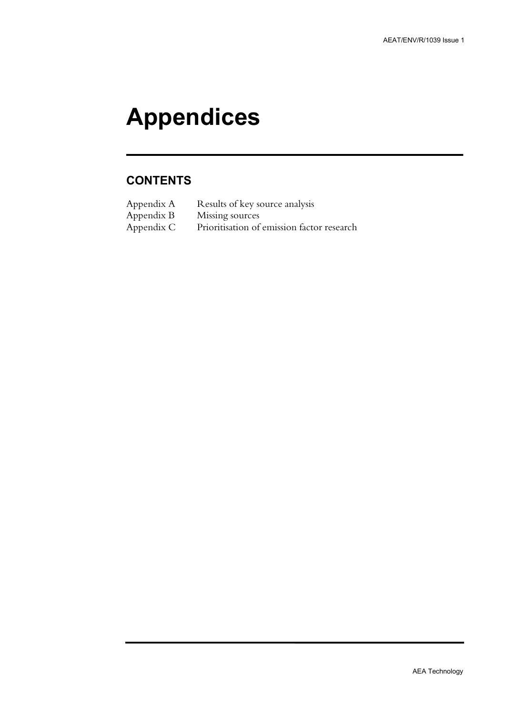# **Appendices**

### **CONTENTS**

| Appendix A | Results of key source analysis             |
|------------|--------------------------------------------|
| Appendix B | Missing sources                            |
| Appendix C | Prioritisation of emission factor research |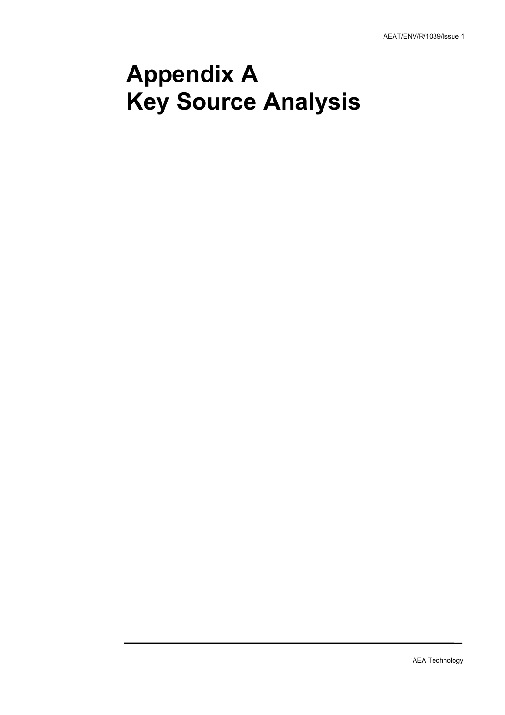## **Appendix A Key Source Analysis**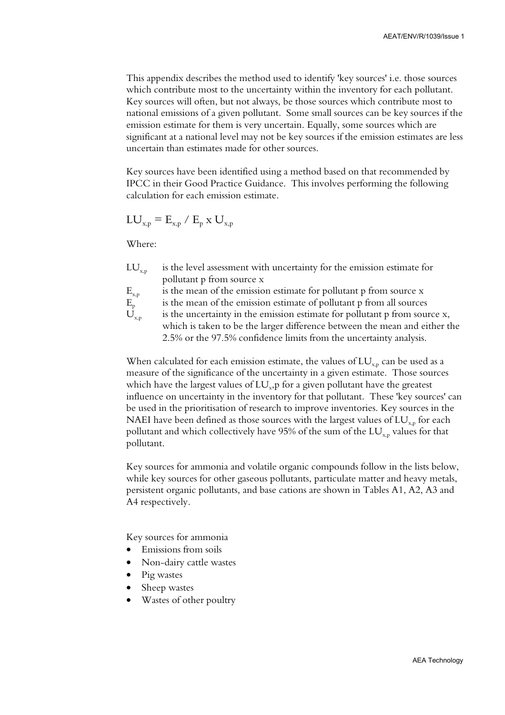This appendix describes the method used to identify 'key sources' i.e. those sources which contribute most to the uncertainty within the inventory for each pollutant. Key sources will often, but not always, be those sources which contribute most to national emissions of a given pollutant. Some small sources can be key sources if the emission estimate for them is very uncertain. Equally, some sources which are significant at a national level may not be key sources if the emission estimates are less uncertain than estimates made for other sources.

Key sources have been identified using a method based on that recommended by IPCC in their Good Practice Guidance. This involves performing the following calculation for each emission estimate.

$$
LU_{x,p} = E_{x,p} / E_p \times U_{x,p}
$$

Where:

 $LU_{\nu,n}$  is the level assessment with uncertainty for the emission estimate for pollutant p from source x

$$
E_{x,p}
$$
 is the mean of the emission estimate for pollutant p from source x

 $E_n$  is the mean of the emission estimate of pollutant p from all sources

 $U_{x_n}$  is the uncertainty in the emission estimate for pollutant p from source x, which is taken to be the larger difference between the mean and either the 2.5% or the 97.5% confidence limits from the uncertainty analysis.

When calculated for each emission estimate, the values of  $LU_{x,p}$  can be used as a measure of the significance of the uncertainty in a given estimate. Those sources which have the largest values of  $LU<sub>x</sub>$ , p for a given pollutant have the greatest influence on uncertainty in the inventory for that pollutant. These 'key sources' can be used in the prioritisation of research to improve inventories. Key sources in the NAEI have been defined as those sources with the largest values of  $LU_{x,p}$  for each pollutant and which collectively have 95% of the sum of the  $LU_{x,p}$  values for that pollutant.

Key sources for ammonia and volatile organic compounds follow in the lists below, while key sources for other gaseous pollutants, particulate matter and heavy metals, persistent organic pollutants, and base cations are shown in Tables A1, A2, A3 and A4 respectively.

Key sources for ammonia

- Emissions from soils
- Non-dairy cattle wastes
- Pig wastes
- Sheep wastes
- Wastes of other poultry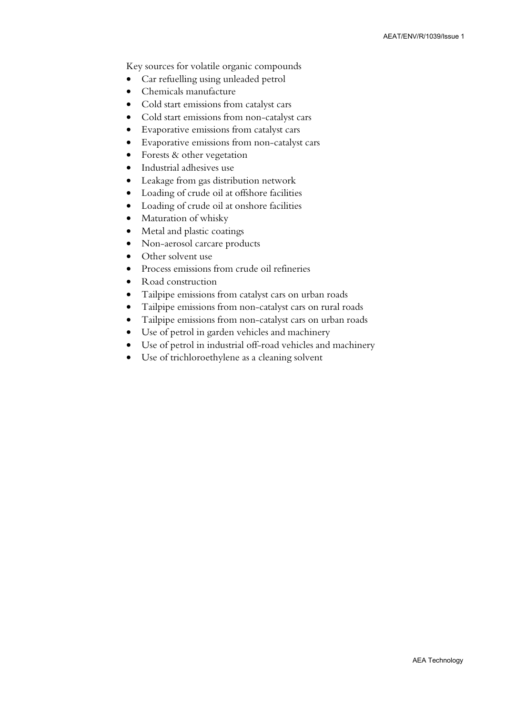Key sources for volatile organic compounds

- Car refuelling using unleaded petrol
- Chemicals manufacture
- Cold start emissions from catalyst cars
- Cold start emissions from non-catalyst cars
- Evaporative emissions from catalyst cars
- Evaporative emissions from non-catalyst cars
- Forests & other vegetation
- Industrial adhesives use
- Leakage from gas distribution network
- Loading of crude oil at offshore facilities
- Loading of crude oil at onshore facilities
- Maturation of whisky
- Metal and plastic coatings
- Non-aerosol carcare products
- Other solvent use
- Process emissions from crude oil refineries
- Road construction
- Tailpipe emissions from catalyst cars on urban roads
- Tailpipe emissions from non-catalyst cars on rural roads
- Tailpipe emissions from non-catalyst cars on urban roads
- Use of petrol in garden vehicles and machinery
- Use of petrol in industrial off-road vehicles and machinery
- Use of trichloroethylene as a cleaning solvent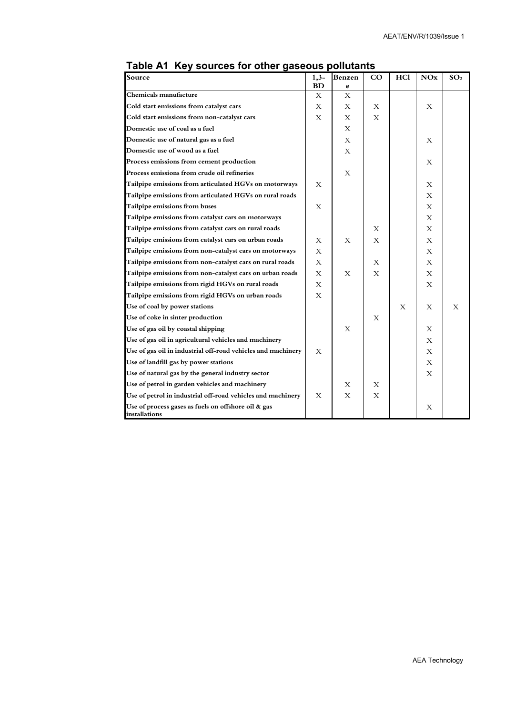| Source                                                               | $1,3-$    | Benzen | $_{\rm CO}$ | <b>HCl</b> | <b>NOx</b>   | SO <sub>2</sub> |
|----------------------------------------------------------------------|-----------|--------|-------------|------------|--------------|-----------------|
|                                                                      | <b>BD</b> | е      |             |            |              |                 |
| Chemicals manufacture                                                | X         | X      |             |            |              |                 |
| Cold start emissions from catalyst cars                              | X         | X      | Х           |            | Х            |                 |
| Cold start emissions from non-catalyst cars                          | X         | X      | X           |            |              |                 |
| <b>Domestic use of coal as a fuel</b>                                |           | X      |             |            |              |                 |
| Domestic use of natural gas as a fuel                                |           | X      |             |            | X            |                 |
| Domestic use of wood as a fuel                                       |           | X      |             |            |              |                 |
| Process emissions from cement production                             |           |        |             |            | X            |                 |
| Process emissions from crude oil refineries                          |           | X      |             |            |              |                 |
| Tailpipe emissions from articulated HGVs on motorways                | X         |        |             |            | X            |                 |
| Tailpipe emissions from articulated HGVs on rural roads              |           |        |             |            | X            |                 |
| Tailpipe emissions from buses                                        | X         |        |             |            | $\mathbf{X}$ |                 |
| Tailpipe emissions from catalyst cars on motorways                   |           |        |             |            | X            |                 |
| Tailpipe emissions from catalyst cars on rural roads                 |           |        | X           |            | X            |                 |
| Tailpipe emissions from catalyst cars on urban roads                 | X         | X      | X           |            | $\mathbf{X}$ |                 |
| Tailpipe emissions from non-catalyst cars on motorways               | X         |        |             |            | X            |                 |
| Tailpipe emissions from non-catalyst cars on rural roads             | X         |        | X           |            | $\mathbf{x}$ |                 |
| Tailpipe emissions from non-catalyst cars on urban roads             | X         | Х      | X           |            | X            |                 |
| Tailpipe emissions from rigid HGVs on rural roads                    | X         |        |             |            | X            |                 |
| Tailpipe emissions from rigid HGVs on urban roads                    | X         |        |             |            |              |                 |
| Use of coal by power stations                                        |           |        |             | X          | X            | X               |
| Use of coke in sinter production                                     |           |        | X           |            |              |                 |
| Use of gas oil by coastal shipping                                   |           | X      |             |            | X            |                 |
| Use of gas oil in agricultural vehicles and machinery                |           |        |             |            | X            |                 |
| Use of gas oil in industrial off-road vehicles and machinery         | X         |        |             |            | $\mathbf{X}$ |                 |
| Use of landfill gas by power stations                                |           |        |             |            | X            |                 |
| Use of natural gas by the general industry sector                    |           |        |             |            | X            |                 |
| Use of petrol in garden vehicles and machinery                       |           | X      | X           |            |              |                 |
| Use of petrol in industrial off-road vehicles and machinery          | X         | X      | X           |            |              |                 |
| Use of process gases as fuels on offshore oil & gas<br>installations |           |        |             |            | Х            |                 |

### **Table A1 Key sources for other gaseous pollutants**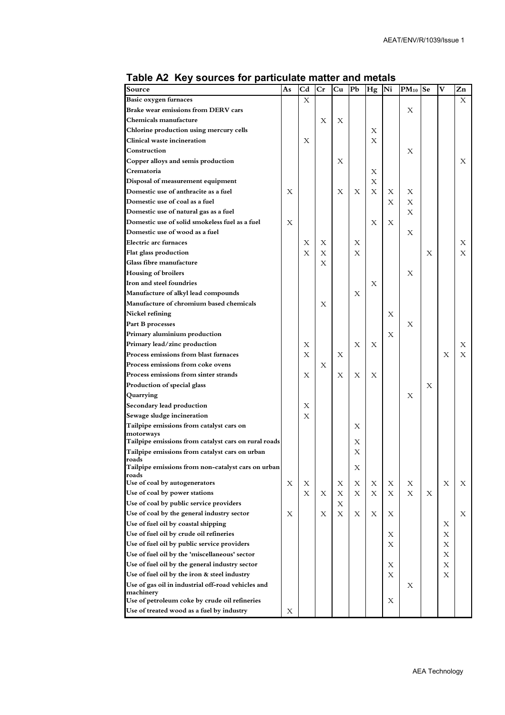| Source                                                            | As | Cd | Cr | Cu | Pb | Hg | Ni | $PM_{10}$ Se |   | v | Zn |
|-------------------------------------------------------------------|----|----|----|----|----|----|----|--------------|---|---|----|
| Basic oxygen furnaces                                             |    | X  |    |    |    |    |    |              |   |   | X  |
| Brake wear emissions from DERV cars                               |    |    |    |    |    |    |    | Х            |   |   |    |
| Chemicals manufacture                                             |    |    | X  | Х  |    |    |    |              |   |   |    |
| Chlorine production using mercury cells                           |    |    |    |    |    | Х  |    |              |   |   |    |
| Clinical waste incineration                                       |    | X  |    |    |    | Х  |    |              |   |   |    |
| Construction                                                      |    |    |    |    |    |    |    | X            |   |   |    |
| Copper alloys and semis production                                |    |    |    | Х  |    |    |    |              |   |   | X  |
| Crematoria                                                        |    |    |    |    |    | Х  |    |              |   |   |    |
| Disposal of measurement equipment                                 |    |    |    |    |    | Х  |    |              |   |   |    |
| Domestic use of anthracite as a fuel                              | Х  |    |    | Х  | X  | Х  | X  | Х            |   |   |    |
| Domestic use of coal as a fuel                                    |    |    |    |    |    |    | Х  | Х            |   |   |    |
| Domestic use of natural gas as a fuel                             |    |    |    |    |    |    |    | Х            |   |   |    |
| Domestic use of solid smokeless fuel as a fuel                    | X  |    |    |    |    | Х  | X  |              |   |   |    |
| Domestic use of wood as a fuel                                    |    |    |    |    |    |    |    | X            |   |   |    |
| <b>Electric arc furnaces</b>                                      |    | X  | Х  |    | X  |    |    |              |   |   | Х  |
| Flat glass production                                             |    | X  | Х  |    | X  |    |    |              | Х |   | X  |
| Glass fibre manufacture                                           |    |    | X  |    |    |    |    |              |   |   |    |
| <b>Housing of broilers</b>                                        |    |    |    |    |    |    |    | Х            |   |   |    |
| Iron and steel foundries                                          |    |    |    |    |    | Х  |    |              |   |   |    |
| Manufacture of alkyl lead compounds                               |    |    |    |    | X  |    |    |              |   |   |    |
| Manufacture of chromium based chemicals                           |    |    | X  |    |    |    |    |              |   |   |    |
| Nickel refining                                                   |    |    |    |    |    |    | Х  |              |   |   |    |
| Part B processes                                                  |    |    |    |    |    |    |    | Х            |   |   |    |
| Primary aluminium production                                      |    |    |    |    |    |    | Х  |              |   |   |    |
| Primary lead/zinc production                                      |    | X  |    |    | X  | Х  |    |              |   |   | Х  |
| Process emissions from blast furnaces                             |    | X  |    | Х  |    |    |    |              |   | X | X  |
| Process emissions from coke ovens                                 |    |    | X  |    |    |    |    |              |   |   |    |
| Process emissions from sinter strands                             |    | X  |    | Х  | X  | Х  |    |              |   |   |    |
| Production of special glass                                       |    |    |    |    |    |    |    |              | X |   |    |
| Quarrying                                                         |    |    |    |    |    |    |    | Х            |   |   |    |
| Secondary lead production                                         |    | Х  |    |    |    |    |    |              |   |   |    |
| Sewage sludge incineration                                        |    | Х  |    |    |    |    |    |              |   |   |    |
| Tailpipe emissions from catalyst cars on                          |    |    |    |    | X  |    |    |              |   |   |    |
| motorways<br>Tailpipe emissions from catalyst cars on rural roads |    |    |    |    | X  |    |    |              |   |   |    |
| Tailpipe emissions from catalyst cars on urban                    |    |    |    |    | X  |    |    |              |   |   |    |
| roads                                                             |    |    |    |    |    |    |    |              |   |   |    |
| Tailpipe emissions from non-catalyst cars on urban                |    |    |    |    | Х  |    |    |              |   |   |    |
| roads<br>Use of coal by autogenerators                            | Х  | Х  |    | Х  | Х  | Х  | Х  | Х            |   | X | Х  |
| Use of coal by power stations                                     |    | X  | Х  | Х  | X  | X  | X  | X            | X |   |    |
| Use of coal by public service providers                           |    |    |    | Х  |    |    |    |              |   |   |    |
| Use of coal by the general industry sector                        | Х  |    | Х  | X  | Х  | Х  | Х  |              |   |   | Х  |
| Use of fuel oil by coastal shipping                               |    |    |    |    |    |    |    |              |   | Х |    |
| Use of fuel oil by crude oil refineries                           |    |    |    |    |    |    | Х  |              |   | Х |    |
| Use of fuel oil by public service providers                       |    |    |    |    |    |    | Х  |              |   | Х |    |
| Use of fuel oil by the 'miscellaneous' sector                     |    |    |    |    |    |    |    |              |   | Х |    |
| Use of fuel oil by the general industry sector                    |    |    |    |    |    |    | Х  |              |   | Х |    |
| Use of fuel oil by the iron & steel industry                      |    |    |    |    |    |    | X  |              |   | Χ |    |
| Use of gas oil in industrial off-road vehicles and                |    |    |    |    |    |    |    | Х            |   |   |    |
| machinery                                                         |    |    |    |    |    |    |    |              |   |   |    |
| Use of petroleum coke by crude oil refineries                     |    |    |    |    |    |    | Х  |              |   |   |    |
| Use of treated wood as a fuel by industry                         | Х  |    |    |    |    |    |    |              |   |   |    |

#### **Table A2 Key sources for particulate matter and metals**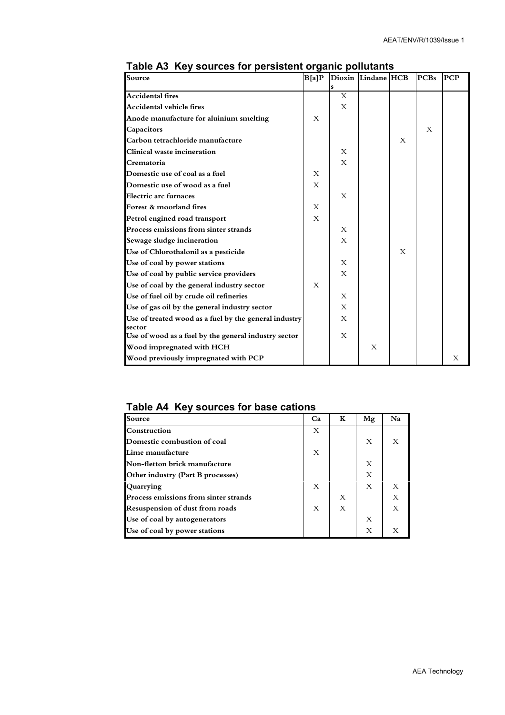| Source                                                | B[a]P        |              | Dioxin Lindane HCB |   | <b>PCBs</b> | <b>PCP</b> |
|-------------------------------------------------------|--------------|--------------|--------------------|---|-------------|------------|
|                                                       |              |              |                    |   |             |            |
| <b>Accidental fires</b>                               |              | X            |                    |   |             |            |
| Accidental vehicle fires                              |              | X            |                    |   |             |            |
| Anode manufacture for aluinium smelting               | X            |              |                    |   |             |            |
| Capacitors                                            |              |              |                    |   | X           |            |
| Carbon tetrachloride manufacture                      |              |              |                    | X |             |            |
| Clinical waste incineration                           |              | X            |                    |   |             |            |
| Crematoria                                            |              | X            |                    |   |             |            |
| Domestic use of coal as a fuel                        | X            |              |                    |   |             |            |
| Domestic use of wood as a fuel                        | X            |              |                    |   |             |            |
| Electric arc furnaces                                 |              | X            |                    |   |             |            |
| Forest & moorland fires                               | $\mathbf{X}$ |              |                    |   |             |            |
| Petrol engined road transport                         | X            |              |                    |   |             |            |
| Process emissions from sinter strands                 |              | X            |                    |   |             |            |
| Sewage sludge incineration                            |              | X            |                    |   |             |            |
| Use of Chlorothalonil as a pesticide                  |              |              |                    | X |             |            |
| Use of coal by power stations                         |              | X            |                    |   |             |            |
| Use of coal by public service providers               |              | X            |                    |   |             |            |
| Use of coal by the general industry sector            | X            |              |                    |   |             |            |
| Use of fuel oil by crude oil refineries               |              | $\mathbf{X}$ |                    |   |             |            |
| Use of gas oil by the general industry sector         |              | X            |                    |   |             |            |
| Use of treated wood as a fuel by the general industry |              | X            |                    |   |             |            |
| sector                                                |              |              |                    |   |             |            |
| Use of wood as a fuel by the general industry sector  |              | X            |                    |   |             |            |
| Wood impregnated with HCH                             |              |              | X                  |   |             |            |
| Wood previously impregnated with PCP                  |              |              |                    |   |             | Х          |

### **Table A3 Key sources for persistent organic pollutants**

#### **Table A4 Key sources for base cations**

| Source                                | Ca | К | Mg | N <sub>a</sub> |
|---------------------------------------|----|---|----|----------------|
| Construction                          | X  |   |    |                |
| Domestic combustion of coal           |    |   | X  | X              |
| Lime manufacture                      | X  |   |    |                |
| Non-fletton brick manufacture         |    |   | Х  |                |
| Other industry (Part B processes)     |    |   | X  |                |
| Quarrying                             | Х  |   | X  | X              |
| Process emissions from sinter strands |    | X |    | X              |
| Resuspension of dust from roads       | X  | X |    | X              |
| Use of coal by autogenerators         |    |   | X  |                |
| Use of coal by power stations         |    |   | Х  |                |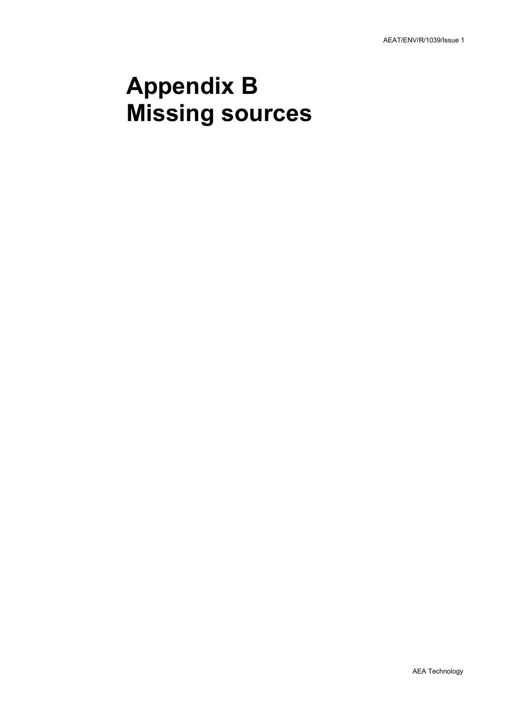## **Appendix B Missing sources**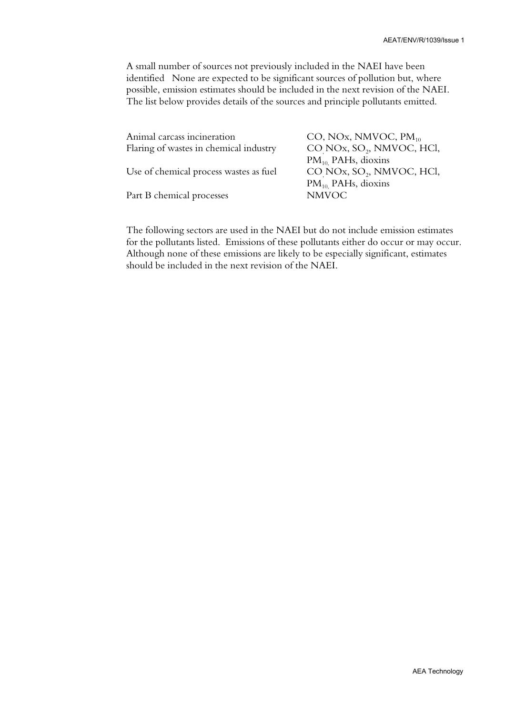A small number of sources not previously included in the NAEI have been identified None are expected to be significant sources of pollution but, where possible, emission estimates should be included in the next revision of the NAEI. The list below provides details of the sources and principle pollutants emitted.

| Animal carcass incineration            | CO, NOx, NMVOC, PM <sub>10</sub>      |
|----------------------------------------|---------------------------------------|
| Flaring of wastes in chemical industry | CO NOx, SO <sub>2</sub> , NMVOC, HCl, |
|                                        | $PM_{10}$ PAHs, dioxins               |
| Use of chemical process wastes as fuel | CO NOx, SO <sub>2</sub> , NMVOC, HCl, |
|                                        | $PM_{10}$ PAHs, dioxins               |
| Part B chemical processes              | <b>NMVOC</b>                          |
|                                        |                                       |

The following sectors are used in the NAEI but do not include emission estimates for the pollutants listed. Emissions of these pollutants either do occur or may occur. Although none of these emissions are likely to be especially significant, estimates should be included in the next revision of the NAEI.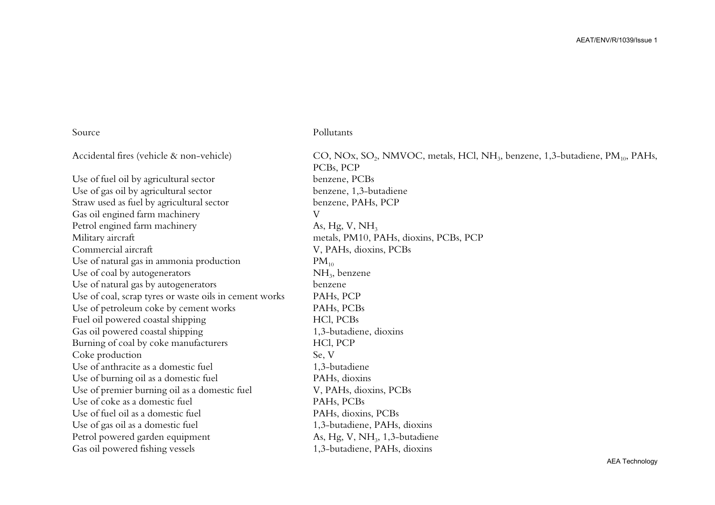Use of fuel oil by agricultural sector benzene, PCBs Use of gas oil by agricultural sector benzene, 1,3-butadiene Straw used as fuel by agricultural sector benzene, PAHs, PCP Gas oil engined farm machinery V Petrol engined farm machinery As, Hg, V, NH<sub>3</sub> Military aircraft metals, PM10, PAHs, dioxins, PCBs, PCP Commercial aircraft V, PAHs, dioxins, PCBs Use of natural gas in ammonia production  $PM_{10}$ Use of coal by autogenerators  $NH<sub>3</sub>$ , benzene Use of natural gas by autogenerators benzene Use of coal, scrap tyres or waste oils in cement works PAHs, PCP Use of petroleum coke by cement works PAHs, PCBs Fuel oil powered coastal shipping HCl, PCBs Gas oil powered coastal shipping 1,3-butadiene, dioxins Burning of coal by coke manufacturers HCl, PCP Coke production Se, V Use of anthracite as a domestic fuel the number of anthracite as a domestic fuel the number of 1,3-butadiene Use of burning oil as a domestic fuel PAHs, dioxins Use of premier burning oil as a domestic fuel V, PAHs, dioxins, PCBs Use of coke as a domestic fuel PAHs, PCBs Use of fuel oil as a domestic fuel PAHs, dioxins, PCBs Use of gas oil as a domestic fuel 1,3-butadiene, PAHs, dioxins Petrol powered garden equipment As, Hg, V, NH<sub>3</sub>, 1,3-butadiene

#### Source Pollutants

Accidental fires (vehicle & non-vehicle) CO, NOx, SO<sub>2</sub>, NMVOC, metals, HCl, NH<sub>3</sub>, benzene, 1,3-butadiene, PM<sub>10</sub>, PAHs, PCBs, PCP Gas oil powered fishing vessels 1,3-butadiene, PAHs, dioxins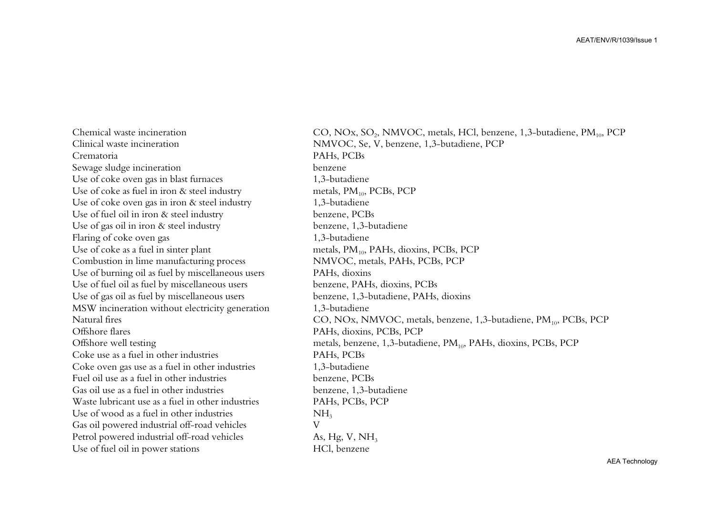Clinical waste incineration NMVOC, Se, V, benzene, 1,3-butadiene, PCP Crematoria PAHs, PCBs Sewage sludge incineration benzene Use of coke oven gas in blast furnaces 1,3-butadiene Use of coke as fuel in iron  $\&$  steel industry metals,  $PM_{10}$ ,  $PCBs$ ,  $PCP$ Use of coke oven gas in iron  $\&$  steel industry 1,3-butadiene Use of fuel oil in iron & steel industry benzene, PCBs Use of gas oil in iron & steel industry benzene, 1,3-butadiene Flaring of coke oven gas 1,3-butadiene Use of coke as a fuel in sinter plant metals, PM<sub>10</sub>, PAHs, dioxins, PCBs, PCP Combustion in lime manufacturing process NMVOC, metals, PAHs, PCBs, PCP Use of burning oil as fuel by miscellaneous users PAHs, dioxins Use of fuel oil as fuel by miscellaneous users benzene, PAHs, dioxins, PCBs Use of gas oil as fuel by miscellaneous users benzene, 1,3-butadiene, PAHs, dioxins MSW incineration without electricity generation 1,3-butadiene Offshore flares PAHs, dioxins, PCBs, PCP Coke use as a fuel in other industries PAHs, PCBs Coke oven gas use as a fuel in other industries 1,3-butadiene Fuel oil use as a fuel in other industries benzene, PCBs Gas oil use as a fuel in other industries benzene, 1,3-butadiene Waste lubricant use as a fuel in other industries PAHs, PCBs, PCP Use of wood as a fuel in other industries  $NH<sub>3</sub>$ Gas oil powered industrial off-road vehicles V Petrol powered industrial off-road vehicles  $\mathbf{A}s$ , Hg, V, NH<sub>3</sub> Use of fuel oil in power stations HCl, benzene

Chemical waste incineration CO, NOx, SO<sub>2</sub>, NMVOC, metals, HCl, benzene, 1,3-butadiene, PM<sub>10</sub>, PCP Natural fires CO, NOx, NMVOC, metals, benzene, 1,3-butadiene, PM<sub>10</sub>, PCBs, PCP Offshore well testing metals, benzene, 1,3-butadiene, PM<sub>10</sub>, PAHs, dioxins, PCBs, PCP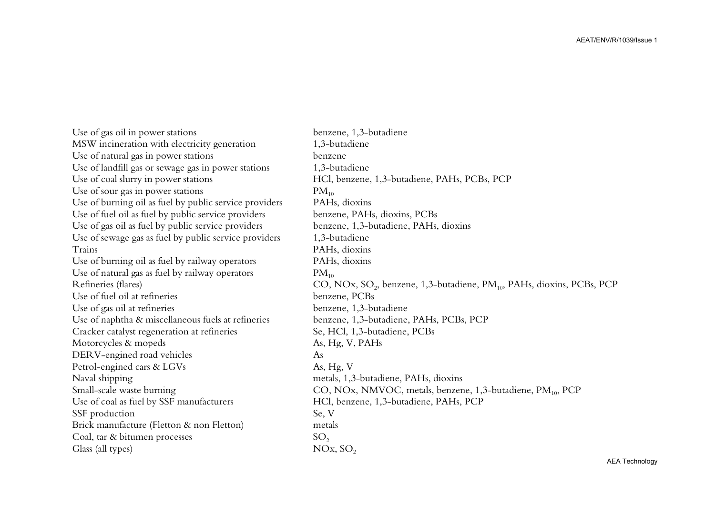Use of gas oil in power stations benzene, 1,3-butadiene MSW incineration with electricity generation 1,3-butadiene Use of natural gas in power stations benzene Use of landfill gas or sewage gas in power stations 1,3-butadiene Use of coal slurry in power stations HCl, benzene, 1,3-butadiene, PAHs, PCBs, PCP Use of sour gas in power stations  $PM_{10}$ Use of burning oil as fuel by public service providers Use of fuel oil as fuel by public service providers benzene, PAHs, dioxins, PCBs Use of gas oil as fuel by public service providers benzene, 1,3-butadiene, PAHs, dioxins Use of sewage gas as fuel by public service providers 1,3-butadiene Trains PAHs, dioxins Use of burning oil as fuel by railway operators PAHs, dioxins Use of natural gas as fuel by railway operators  $PM_{10}$ Use of fuel oil at refineries benzene, PCBs Use of gas oil at refineries benzene, 1,3-butadiene Use of naphtha & miscellaneous fuels at refineries benzene, 1,3-butadiene, PAHs, PCBs, PCP Cracker catalyst regeneration at refineries Se, HCl, 1,3-butadiene, PCBs Motorcycles & mopeds As, Hg, V, PAHs DERV-engined road vehicles As Petrol-engined cars & LGVs As, Hg, V Naval shipping metals, 1,3-butadiene, PAHs, dioxins Use of coal as fuel by SSF manufacturers HCl, benzene, 1,3-butadiene, PAHs, PCP SSF production Se, V Brick manufacture (Fletton & non Fletton) metals Coal, tar & bitumen processes  $SO<sub>2</sub>$ Glass (all types)  $NOx$ ,  $SO<sub>2</sub>$ 

PAH<sub>s</sub>. dioxins Refineries (flares) CO, NOx, SO<sub>2</sub>, benzene, 1,3-butadiene, PM<sub>10</sub>, PAHs, dioxins, PCBs, PCP Small-scale waste burning CO, NOx, NMVOC, metals, benzene, 1,3-butadiene, PM<sub>10</sub>, PCP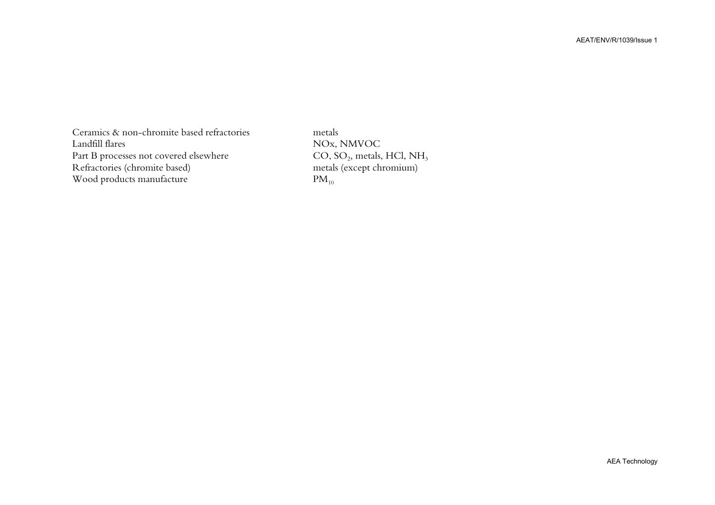Ceramics  $\&$  non-chromite based refractories Landfill flares NOx, NMVOC Part B processes not covered elsewhere CO, SO<sub>2</sub>, metals, HCl, NH<br>Refractories (chromite based) metals (except chromium) Refractories (chromite based) Wood products manufacture  $PM_{10}$ 

metals  $CO$ ,  $SO_2$ , metals, HCl, NH<sub>3</sub>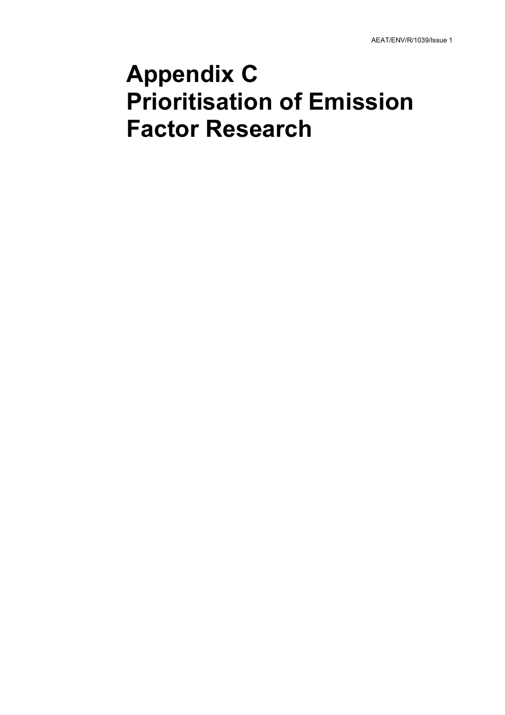## **Appendix C Prioritisation of Emission Factor Research**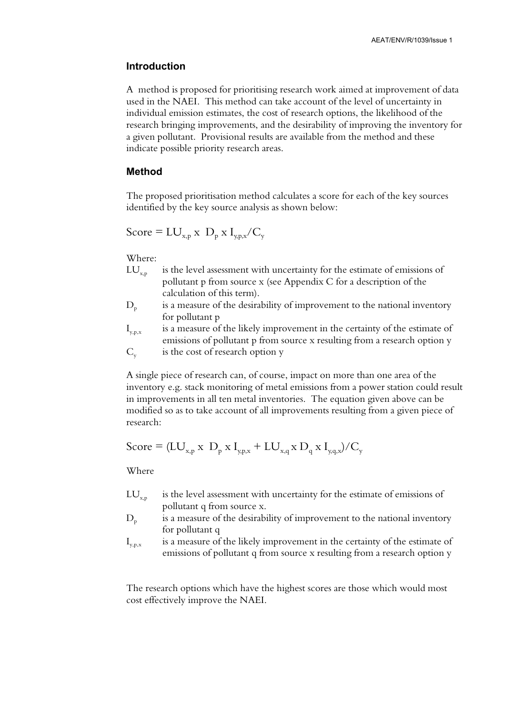#### **Introduction**

A method is proposed for prioritising research work aimed at improvement of data used in the NAEI. This method can take account of the level of uncertainty in individual emission estimates, the cost of research options, the likelihood of the research bringing improvements, and the desirability of improving the inventory for a given pollutant. Provisional results are available from the method and these indicate possible priority research areas.

#### **Method**

The proposed prioritisation method calculates a score for each of the key sources identified by the key source analysis as shown below:

$$
Score = LU_{x,p} \times D_p \times I_{y,p,x}/C_y
$$

Where:

- $LU_{x,p}$  is the level assessment with uncertainty for the estimate of emissions of pollutant p from source x (see Appendix C for a description of the calculation of this term).
- D<sub>n</sub> is a measure of the desirability of improvement to the national inventory for pollutant p

 $I_{v,p,x}$  is a measure of the likely improvement in the certainty of the estimate of emissions of pollutant p from source x resulting from a research option y  $C_{y}$  is the cost of research option y

A single piece of research can, of course, impact on more than one area of the inventory e.g. stack monitoring of metal emissions from a power station could result in improvements in all ten metal inventories. The equation given above can be modified so as to take account of all improvements resulting from a given piece of research:

$$
Score = (LU_{x,p} \times D_p \times I_{y,p,x} + LU_{x,q} \times D_q \times I_{y,q,x})/C_y
$$

Where

- $LU_{x,p}$  is the level assessment with uncertainty for the estimate of emissions of pollutant q from source x.
- $D<sub>p</sub>$  is a measure of the desirability of improvement to the national inventory for pollutant q
- $I_{v,n,x}$  is a measure of the likely improvement in the certainty of the estimate of emissions of pollutant q from source x resulting from a research option y

The research options which have the highest scores are those which would most cost effectively improve the NAEI.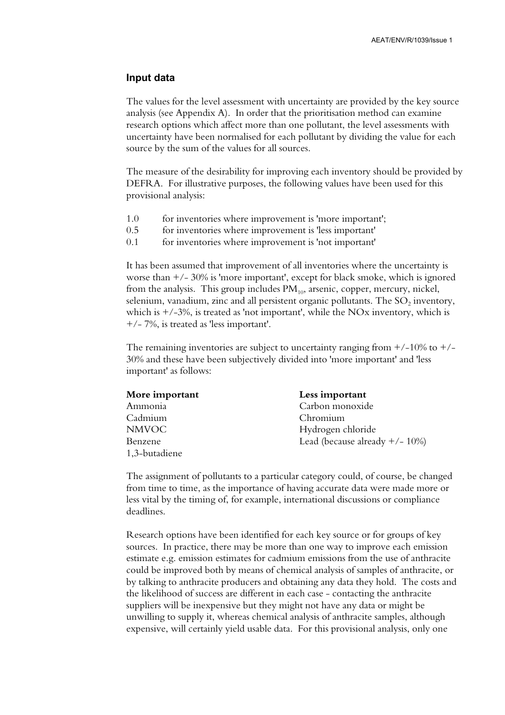#### **Input data**

The values for the level assessment with uncertainty are provided by the key source analysis (see Appendix A). In order that the prioritisation method can examine research options which affect more than one pollutant, the level assessments with uncertainty have been normalised for each pollutant by dividing the value for each source by the sum of the values for all sources.

The measure of the desirability for improving each inventory should be provided by DEFRA. For illustrative purposes, the following values have been used for this provisional analysis:

- 1.0 for inventories where improvement is 'more important';
- 0.5 for inventories where improvement is 'less important'
- 0.1 for inventories where improvement is 'not important'

It has been assumed that improvement of all inventories where the uncertainty is worse than  $+/- 30\%$  is 'more important', except for black smoke, which is ignored from the analysis. This group includes  $PM_{10}$ , arsenic, copper, mercury, nickel, selenium, vanadium, zinc and all persistent organic pollutants. The  $SO<sub>2</sub>$  inventory, which is  $+/-3\%$ , is treated as 'not important', while the NOx inventory, which is +/- 7%, is treated as 'less important'.

The remaining inventories are subject to uncertainty ranging from  $+/-10\%$  to  $+/-$ 30% and these have been subjectively divided into 'more important' and 'less important' as follows:

| More important | Less important                     |
|----------------|------------------------------------|
| Ammonia        | Carbon monoxide                    |
| Cadmium        | Chromium                           |
| <b>NMVOC</b>   | Hydrogen chloride                  |
| Benzene        | Lead (because already $+/- 10\%$ ) |
| 1,3-butadiene  |                                    |

The assignment of pollutants to a particular category could, of course, be changed from time to time, as the importance of having accurate data were made more or less vital by the timing of, for example, international discussions or compliance deadlines.

Research options have been identified for each key source or for groups of key sources. In practice, there may be more than one way to improve each emission estimate e.g. emission estimates for cadmium emissions from the use of anthracite could be improved both by means of chemical analysis of samples of anthracite, or by talking to anthracite producers and obtaining any data they hold. The costs and the likelihood of success are different in each case - contacting the anthracite suppliers will be inexpensive but they might not have any data or might be unwilling to supply it, whereas chemical analysis of anthracite samples, although expensive, will certainly yield usable data. For this provisional analysis, only one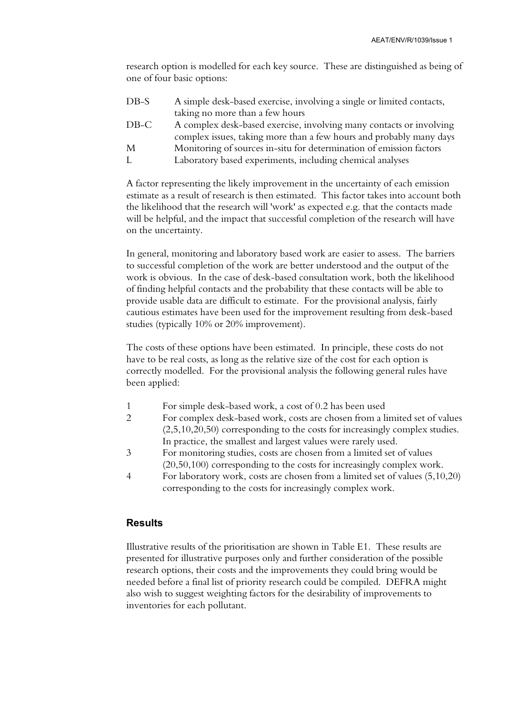research option is modelled for each key source. These are distinguished as being of one of four basic options:

| DB-S | A simple desk-based exercise, involving a single or limited contacts, |
|------|-----------------------------------------------------------------------|
|      | taking no more than a few hours                                       |
| DB-C | A complex desk-based exercise, involving many contacts or involving   |
|      | complex issues, taking more than a few hours and probably many days   |
| M    | Monitoring of sources in-situ for determination of emission factors   |
| L    | Laboratory based experiments, including chemical analyses             |
|      |                                                                       |

A factor representing the likely improvement in the uncertainty of each emission estimate as a result of research is then estimated. This factor takes into account both the likelihood that the research will 'work' as expected e.g. that the contacts made will be helpful, and the impact that successful completion of the research will have on the uncertainty.

In general, monitoring and laboratory based work are easier to assess. The barriers to successful completion of the work are better understood and the output of the work is obvious. In the case of desk-based consultation work, both the likelihood of finding helpful contacts and the probability that these contacts will be able to provide usable data are difficult to estimate. For the provisional analysis, fairly cautious estimates have been used for the improvement resulting from desk-based studies (typically 10% or 20% improvement).

The costs of these options have been estimated. In principle, these costs do not have to be real costs, as long as the relative size of the cost for each option is correctly modelled. For the provisional analysis the following general rules have been applied:

- 1 For simple desk-based work, a cost of 0.2 has been used
- 2 For complex desk-based work, costs are chosen from a limited set of values (2,5,10,20,50) corresponding to the costs for increasingly complex studies. In practice, the smallest and largest values were rarely used.
- 3 For monitoring studies, costs are chosen from a limited set of values (20,50,100) corresponding to the costs for increasingly complex work.
- 4 For laboratory work, costs are chosen from a limited set of values (5,10,20) corresponding to the costs for increasingly complex work.

#### **Results**

Illustrative results of the prioritisation are shown in Table E1. These results are presented for illustrative purposes only and further consideration of the possible research options, their costs and the improvements they could bring would be needed before a final list of priority research could be compiled. DEFRA might also wish to suggest weighting factors for the desirability of improvements to inventories for each pollutant.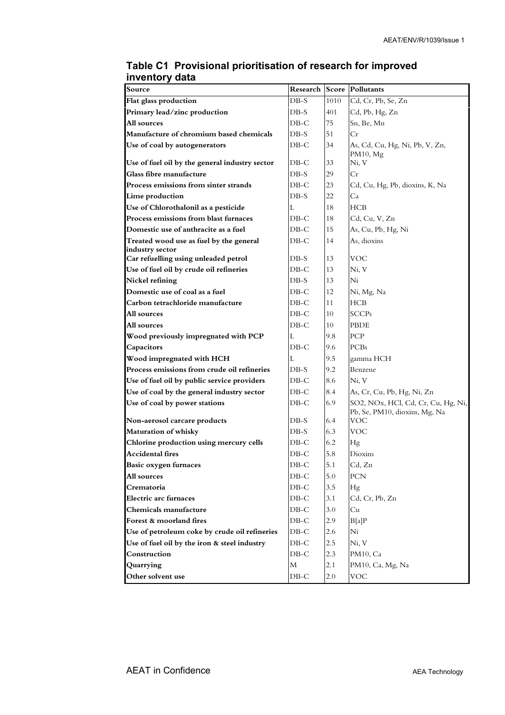| Source                                                                    |                   |          | Research Score Pollutants                                           |
|---------------------------------------------------------------------------|-------------------|----------|---------------------------------------------------------------------|
| Flat glass production                                                     | $DB-S$            | 1010     | Cd, Cr, Pb, Se, Zn                                                  |
| Primary lead/zinc production                                              | $DB-S$            | 401      | Cd, Pb, Hg, Zn                                                      |
| All sources                                                               | $DB-C$            | 75       | Sn, Be, Mn                                                          |
| Manufacture of chromium based chemicals                                   | $DB-S$            | 51       | Сr                                                                  |
| Use of coal by autogenerators                                             | DB-C              | 34       | As, Cd, Cu, Hg, Ni, Pb, V, Zn,                                      |
|                                                                           |                   |          | $PM10$ , Mg                                                         |
| Use of fuel oil by the general industry sector<br>Glass fibre manufacture | $DB-C$<br>$DB-S$  | 33<br>29 | Ni, V<br>Cr                                                         |
| Process emissions from sinter strands                                     | $DB-C$            | 23       | Cd, Cu, Hg, Pb, dioxins, K, Na                                      |
| Lime production                                                           | DB-S              | 22       | Ca                                                                  |
| Use of Chlorothalonil as a pesticide                                      | L                 | 18       | HCB                                                                 |
| Process emissions from blast furnaces                                     | $DB-C$            | 18       | Cd, Cu, V, Zn                                                       |
| Domestic use of anthracite as a fuel                                      | $DB-C$            | 15       | As, Cu, Pb, Hg, Ni                                                  |
| Treated wood use as fuel by the general                                   | $DB-C$            | 14       | As, dioxins                                                         |
| industry sector                                                           |                   |          |                                                                     |
| Car refuelling using unleaded petrol                                      | $DB-S$            | 13       | VOC                                                                 |
| Use of fuel oil by crude oil refineries                                   | $DB-C$            | 13       | Ni, V                                                               |
| Nickel refining                                                           | $DB-S$            | 13       | Ni                                                                  |
| Domestic use of coal as a fuel                                            | $DB$ -C           | 12       | Ni, Mg, Na                                                          |
| Carbon tetrachloride manufacture                                          | $DB-C$            | 11       | HCB                                                                 |
| All sources                                                               | $DB-C$            | 10       | <b>SCCPs</b>                                                        |
| All sources                                                               | $DB-C$            | 10       | PBDE                                                                |
| Wood previously impregnated with PCP                                      | L                 | 9.8      | PCP                                                                 |
| Capacitors                                                                | $DB-C$            | 9.6      | <b>PCBs</b>                                                         |
| Wood impregnated with HCH                                                 | L                 | 9.5      | gamma HCH                                                           |
| Process emissions from crude oil refineries                               | $DB-S$            | 9.2      | Benzene                                                             |
| Use of fuel oil by public service providers                               | $DB-C$            | 8.6      | Ni. V                                                               |
| Use of coal by the general industry sector                                | $DB-C$            | 8.4      | As, Cr, Cu, Pb, Hg, Ni, Zn                                          |
| Use of coal by power stations                                             | $DB-C$            | 6.9      | SO2, NOx, HCl, Cd, Cr, Cu, Hg, Ni,<br>Pb, Se, PM10, dioxins, Mg, Na |
| Non-aerosol carcare products                                              | $DB-S$            | 6.4      | VOC                                                                 |
| Maturation of whisky                                                      | $DB-S$            | 6.3      | <b>VOC</b>                                                          |
| Chlorine production using mercury cells                                   | $DB-C$            | 6.2      | Hg                                                                  |
| <b>Accidental fires</b>                                                   | $DB-C$            | 5.8      | Dioxins                                                             |
| Basic oxygen furnaces                                                     | $\rm DB\text{-}C$ | 5.1      | Cd, Zn                                                              |
| All sources                                                               | $DB-C$            | 5.0      | PCN                                                                 |
| Crematoria                                                                | $DB-C$            | 3.5      | Hg                                                                  |
| <b>Electric arc furnaces</b>                                              | $DB-C$            | 3.1      | Cd, Cr, Pb, Zn                                                      |
| Chemicals manufacture                                                     | $DB-C$            | 3.0      | Cu                                                                  |
| Forest & moorland fires                                                   | $DB-C$            | 2.9      | B[a]P                                                               |
| Use of petroleum coke by crude oil refineries                             | $DB-C$            | 2.6      | Ni                                                                  |
| Use of fuel oil by the iron & steel industry                              | $DB-C$            | 2.5      | Ni, V                                                               |
| Construction                                                              | $DB-C$            | 2.3      | PM10, Ca                                                            |
| Quarrying                                                                 | M                 | 2.1      | PM10, Ca, Mg, Na                                                    |
| Other solvent use                                                         | $DB-C$            | 2.0      | VOC.                                                                |

#### **Table C1 Provisional prioritisation of research for improved inventory data**